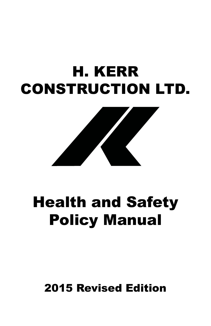# H. KERR CONSTRUCTION LTD.



# Health and Safety Policy Manual

# 2015 Revised Edition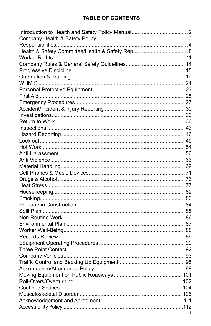# **TABLE OF CONTENTS**

| 1 |
|---|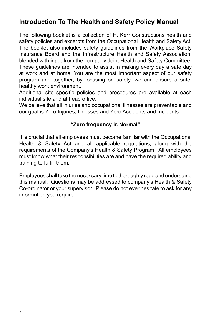# **Introduction To The Health and Safety Policy Manual**

The following booklet is a collection of H. Kerr Constructions health and safety policies and excerpts from the Occupational Health and Safety Act. The booklet also includes safety guidelines from the Workplace Safety Insurance Board and the Infrastructure Health and Safety Association, blended with input from the company Joint Health and Safety Committee. These guidelines are intended to assist in making every day a safe day at work and at home. You are the most important aspect of our safety program and together, by focusing on safety, we can ensure a safe, healthy work environment.

Additional site specific policies and procedures are available at each individual site and at head office.

We believe that all injuries and occupational illnesses are preventable and our goal is Zero Injuries, Illnesses and Zero Accidents and Incidents.

#### **"Zero frequency is Normal"**

It is crucial that all employees must become familiar with the Occupational Health & Safety Act and all applicable regulations, along with the requirements of the Company's Health & Safety Program. All employees must know what their responsibilities are and have the required ability and training to fulfill them.

Employees shall take the necessary time to thoroughly read and understand this manual. Questions may be addressed to company's Health & Safety Co-ordinator or your supervisor. Please do not ever hesitate to ask for any information you require.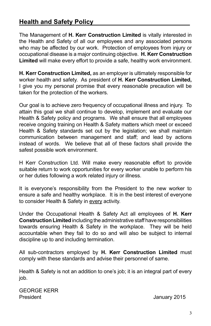# **Health and Safety Policy**

The Management of **H. Kerr Construction Limited** is vitally interested in the Health and Safety of all our employees and any associated persons who may be affected by our work. Protection of employees from injury or occupational disease is a major continuing objective. **H. Kerr Construction Limited** will make every effort to provide a safe, healthy work environment.

**H. Kerr Construction Limited,** as an employer is ultimately responsible for worker health and safety. As president of **H. Kerr Construction Limited,**  I give you my personal promise that every reasonable precaution will be taken for the protection of the workers.

Our goal is to achieve zero frequency of occupational illness and injury. To attain this goal we shall continue to develop, implement and evaluate our Health & Safety policy and programs. We shall ensure that all employees receive ongoing training on Health & Safety matters which meet or exceed Health & Safety standards set out by the legislation; we shall maintain communication between management and staff; and lead by actions instead of words. We believe that all of these factors shall provide the safest possible work environment.

H Kerr Construction Ltd. Will make every reasonable effort to provide suitable return to work opportunities for every worker unable to perform his or her duties following a work related injury or illness.

It is everyone's responsibility from the President to the new worker to ensure a safe and healthy workplace. It is in the best interest of everyone to consider Health & Safety in every activity.

Under the Occupational Health & Safety Act all employees of **H. Kerr Construction Limited** including the administrative staff have responsibilities towards ensuring Health & Safety in the workplace. They will be held accountable when they fail to do so and will also be subject to internal discipline up to and including termination.

All sub-contractors employed by **H. Kerr Construction Limited** must comply with these standards and advise their personnel of same.

Health & Safety is not an addition to one's job; it is an integral part of every job.

GEORGE KERR President **International Contract Contract Contract Contract Contract Contract Contract Contract Contract Contract Contract Contract Contract Contract Contract Contract Contract Contract Contract Contract Contract Contract**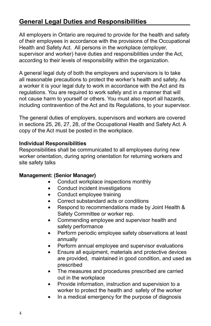# **General Legal Duties and Responsibilities**

All employers in Ontario are required to provide for the health and safety of their employees in accordance with the provisions of the Occupational Health and Safety Act. All persons in the workplace (employer, supervisor and worker) have duties and responsibilities under the Act, according to their levels of responsibility within the organization.

A general legal duty of both the employers and supervisors is to take all reasonable precautions to protect the worker's health and safety. As a worker it is your legal duty to work in accordance with the Act and its regulations. You are required to work safely and in a manner that will not cause harm to yourself or others. You must also report all hazards, including contravention of the Act and its Regulations, to your supervisor.

The general duties of employers, supervisors and workers are covered in sections 25, 26, 27, 28, of the Occupational Health and Safety Act. A copy of the Act must be posted in the workplace.

#### **Individual Responsibilities**

Responsibilities shall be communicated to all employees during new worker orientation, during spring orientation for returning workers and site safety talks

#### **Management: (Senior Manager)**

- Conduct workplace inspections monthly
- Conduct incident investigations
- Conduct employee training
- Correct substandard acts or conditions
- Respond to recommendations made by Joint Health & Safety Committee or worker rep.
- • Commending employee and supervisor health and safety performance
- • Perform periodic employee safety observations at least annually
- Perform annual employee and supervisor evaluations
- • Ensure all equipment, materials and protective devices are provided, maintained in good condition, and used as prescribed
- The measures and procedures prescribed are carried out in the workplace
- Provide information, instruction and supervision to a worker to protect the health and safety of the worker
- In a medical emergency for the purpose of diagnosis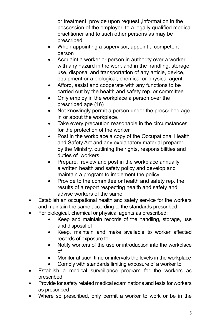or treatment, provide upon request ,information in the possession of the employer, to a legally qualified medical practitioner and to such other persons as may be prescribed

- When appointing a supervisor, appoint a competent person
- Acquaint a worker or person in authority over a worker with any hazard in the work and in the handling, storage, use, disposal and transportation of any article, device, equipment or a biological, chemical or physical agent.
- Afford, assist and cooperate with any functions to be carried out by the health and safety rep. or committee
- Only employ in the workplace a person over the prescribed age (16)
- Not knowingly permit a person under the prescribed age in or about the workplace.
- Take every precaution reasonable in the circumstances for the protection of the worker
- Post in the workplace a copy of the Occupational Health and Safety Act and any explanatory material prepared by the Ministry, outlining the rights, responsibilities and duties of workers
- Prepare, review and post in the workplace annually a written health and safety policy and develop and maintain a program to implement the policy
- Provide to the committee or health and safety rep. the results of a report respecting health and safety and advise workers of the same
- Establish an occupational health and safety service for the workers and maintain the same according to the standards prescribed
- For biological, chemical or physical agents as prescribed:
	- Keep and maintain records of the handling, storage, use and disposal of
	- • Keep, maintain and make available to worker affected records of exposure to
	- Notify workers of the use or introduction into the workplace of
	- Monitor at such time or intervals the levels in the workplace
	- Comply with standards limiting exposure of a worker to
- Establish a medical surveillance program for the workers as prescribed
- Provide for safety related medical examinations and tests for workers as prescribed
- Where so prescribed, only permit a worker to work or be in the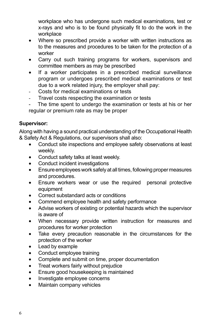workplace who has undergone such medical examinations, test or x-rays and who is to be found physically fit to do the work in the workplace

- Where so prescribed provide a worker with written instructions as to the measures and procedures to be taken for the protection of a worker
- Carry out such training programs for workers, supervisors and committee members as may be prescribed
- If a worker participates in a prescribed medical surveillance program or undergoes prescribed medical examinations or test due to a work related injury, the employer shall pay:
- Costs for medical examinations or tests
- Travel costs respecting the examination or tests
- The time spent to undergo the examination or tests at his or her regular or premium rate as may be proper

#### **Supervisor:**

Along with having a sound practical understanding of the Occupational Health & Safety Act & Regulations, our supervisors shall also:

- Conduct site inspections and employee safety observations at least weekly.
- Conduct safety talks at least weekly.
- Conduct incident investigations
- Ensure employees work safely at all times, following proper measures and procedures.
- Ensure workers wear or use the required personal protective equipment
- Correct substandard acts or conditions
- Commend employee health and safety performance
- Advise workers of existing or potential hazards which the supervisor is aware of
- When necessary provide written instruction for measures and procedures for worker protection
- • Take every precaution reasonable in the circumstances for the protection of the worker
- Lead by example
- Conduct employee training
- Complete and submit on time, proper documentation
- Treat workers fairly without prejudice
- Ensure good housekeeping is maintained
- Investigate employee concerns
- Maintain company vehicles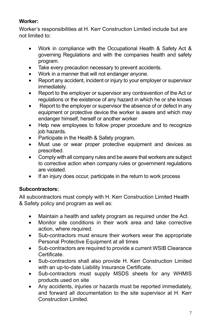#### **Worker:**

Worker's responsibilities at H. Kerr Construction Limited include but are not limited to:

- Work in compliance with the Occupational Health & Safety Act & governing Regulations and with the companies health and safety program.
- Take every precaution necessary to prevent accidents.
- Work in a manner that will not endanger anyone.
- Report any accident, incident or injury to your employer or supervisor immediately.
- Report to the employer or supervisor any contravention of the Act or regulations or the existence of any hazard in which he or she knows
- Report to the employer or supervisor the absence of or defect in any equipment or protective device the worker is aware and which may endanger himself, herself or another worker
- Help new employees to follow proper procedure and to recognize job hazards.
- Participate in the Health & Safety program.
- Must use or wear proper protective equipment and devices as prescribed.
- Comply with all company rules and be aware that workers are subject to corrective action when company rules or government regulations are violated.
- If an injury does occur, participate in the return to work process

## **Subcontractors:**

All subcontractors must comply with H. Kerr Construction Limited Health & Safety policy and program as well as:

- Maintain a health and safety program as required under the Act.
- • Monitor site conditions in their work area and take corrective action, where required.
- Sub-contractors must ensure their workers wear the appropriate Personal Protective Equipment at all times
- Sub-contractors are required to provide a current WSIB Clearance Certificate.
- Sub-contractors shall also provide H. Kerr Construction Limited with an up-to-date Liability Insurance Certificate.
- Sub-contractors must supply MSDS sheets for any WHMIS products used on site
- Any accidents, injuries or hazards must be reported immediately, and forward all documentation to the site supervisor at H. Kerr Construction Limited.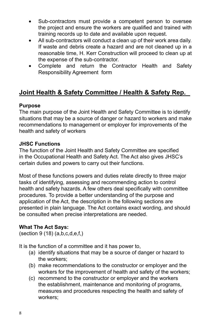- Sub-contractors must provide a competent person to oversee the project and ensure the workers are qualified and trained with training records up to date and available upon request.
- All sub-contractors will conduct a clean up of their work area daily. If waste and debris create a hazard and are not cleaned up in a reasonable time, H. Kerr Construction will proceed to clean up at the expense of the sub-contractor.
- Complete and return the Contractor Health and Safety Responsibility Agreement form

# **Joint Health & Safety Committee / Health & Safety Rep.**

#### **Purpose**

The main purpose of the Joint Health and Safety Committee is to identify situations that may be a source of danger or hazard to workers and make recommendations to management or employer for improvements of the health and safety of workers

#### **JHSC Functions**

The function of the Joint Health and Safety Committee are specified in the Occupational Health and Safety Act. The Act also gives JHSC's certain duties and powers to carry out their functions.

Most of these functions powers and duties relate directly to three major tasks of identifying, assessing and recommending action to control health and safety hazards. A few others deal specifically with committee procedures. To provide a better understanding of the purpose and application of the Act, the description in the following sections are presented in plain language. The Act contains exact wording, and should be consulted when precise interpretations are needed.

#### **What The Act Says:**

 $(section 9 (18) (a,b,c,d,e,f)$ 

It is the function of a committee and it has power to,

- (a) identify situations that may be a source of danger or hazard to the workers;
- (b) make recommendations to the constructor or employer and the workers for the improvement of health and safety of the workers;
- (c) recommend to the constructor or employer and the workers the establishment, maintenance and monitoring of programs, measures and procedures respecting the health and safety of workers;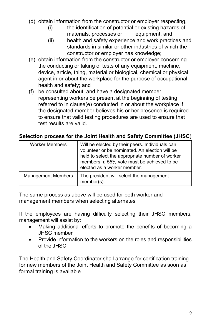- (d) obtain information from the constructor or employer respecting,
	- (i) the identification of potential or existing hazards of materials, processes or equipment, and
	- (ii) health and safety experience and work practices and standards in similar or other industries of which the constructor or employer has knowledge;
- (e) obtain information from the constructor or employer concerning the conducting or taking of tests of any equipment, machine, device, article, thing, material or biological, chemical or physical agent in or about the workplace for the purpose of occupational health and safety; and
- (f) be consulted about, and have a designated member representing workers be present at the beginning of testing referred to in clause(e) conducted in or about the workplace if the designated member believes his or her presence is required to ensure that valid testing procedures are used to ensure that test results are valid.

#### **Selection process for the Joint Health and Safety Committee (JHSC**)

| <b>Worker Members</b>     | Will be elected by their peers. Individuals can<br>volunteer or be nominated. An election will be<br>held to select the appropriate number of worker<br>members, a 55% vote must be achieved to be<br>elected as a worker member. |
|---------------------------|-----------------------------------------------------------------------------------------------------------------------------------------------------------------------------------------------------------------------------------|
| <b>Management Members</b> | The president will select the management<br>member(s).                                                                                                                                                                            |

The same process as above will be used for both worker and management members when selecting alternates

If the employees are having difficulty selecting their JHSC members, management will assist by:

- Making additional efforts to promote the benefits of becoming a JHSC member
- Provide information to the workers on the roles and responsibilities of the JHSC.

The Health and Safety Coordinator shall arrange for certification training for new members of the Joint Health and Safety Committee as soon as formal training is available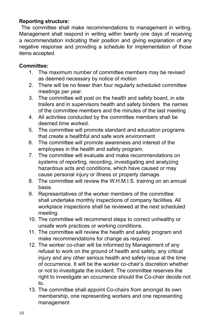#### **Reporting structure:**

 The committee shall make recommendations to management in writing. Management shall respond in writing within twenty one days of receiving a recommendation indicating their position and giving explanation of any negative response and providing a schedule for implementation of those items accepted.

#### **Committee:**

- 1. The maximum number of committee members may be revised as deemed necessary by notice of motion
- 2. There will be no fewer than four regularly scheduled committee meetings per year.
- 3. The committee will post on the health and safety board, in site trailers and in supervisors health and safety binders the names of the committee members and the minutes of the last meeting
- 4. All activities conducted by the committee members shall be deemed time worked.
- 5. The committee will promote standard and education programs that create a healthful and safe work environment
- 6. The committee will promote awareness and interest of the employees in the health and safety program.
- 7. The committee will evaluate and make recommendations on systems of reporting, recording, investigating and analyzing hazardous acts and conditions, which have caused or may cause personal injury or illness or property damage.
- 8. The committee will review the W.H.M.I.S. training on an annual basis.
- 9. Representatives of the worker members of the committee shall undertake monthly inspections of company facilities. All workplace inspections shall be reviewed at the next scheduled meeting.
- 10. The committee will recommend steps to correct unhealthy or unsafe work practices or working conditions.
- 11. The committee will review the health and safety program and make recommendations for change as required.
- 12. The worker co-chair will be informed by Management of any refusal to work on the ground of health and safety, any critical injury and any other serious health and safety issue at the time of occurrence. It will be the worker co-chair's discretion whether or not to investigate the incident. The committee reserves the right to investigate an occurrence should the Co-chair decide not to.
- 13. The committee shall appoint Co-chairs from amongst its own membership, one representing workers and one representing management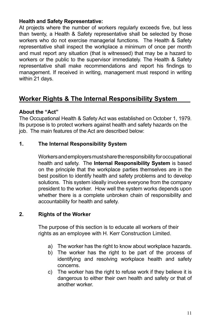#### **Health and Safety Representative:**

At projects where the number of workers regularly exceeds five, but less than twenty, a Health & Safety representative shall be selected by those workers who do not exercise managerial functions. The Health & Safety representative shall inspect the workplace a minimum of once per month and must report any situation (that is witnessed) that may be a hazard to workers or the public to the supervisor immediately. The Health & Safety representative shall make recommendations and report his findings to management. If received in writing, management must respond in writing within 21 days.

# **Worker Rights & The Internal Responsibility System**

#### **About the "Act"**

The Occupational Health & Safety Act was established on October 1, 1979. Its purpose is to protect workers against health and safety hazards on the job. The main features of the Act are described below:

#### **1. The Internal Responsibility System**

Workers and employers must share the responsibility for occupational health and safety. The **Internal Responsibility System** is based on the principle that the workplace parties themselves are in the best position to identify health and safety problems and to develop solutions. This system ideally involves everyone from the company president to the worker. How well the system works depends upon whether there is a complete unbroken chain of responsibility and accountability for health and safety.

#### **2. Rights of the Worker**

The purpose of this section is to educate all workers of their rights as an employee with H. Kerr Construction Limited.

- a) The worker has the right to know about workplace hazards.
- b) The worker has the right to be part of the process of identifying and resolving workplace health and safety concerns.
- c) The worker has the right to refuse work if they believe it is dangerous to either their own health and safety or that of another worker.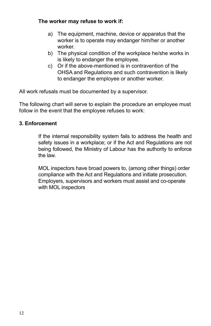#### **The worker may refuse to work if:**

- a) The equipment, machine, device or apparatus that the worker is to operate may endanger him/her or another worker.
- b) The physical condition of the workplace he/she works in is likely to endanger the employee.
- c) Or if the above-mentioned is in contravention of the OHSA and Regulations and such contravention is likely to endanger the employee or another worker.

All work refusals must be documented by a supervisor.

The following chart will serve to explain the procedure an employee must follow in the event that the employee refuses to work:

#### **3. Enforcement**

If the internal responsibility system fails to address the health and safety issues in a workplace; or if the Act and Regulations are not being followed, the Ministry of Labour has the authority to enforce the law.

MOL inspectors have broad powers to, (among other things) order compliance with the Act and Regulations and initiate prosecution. Employers, supervisors and workers must assist and co-operate with MOL inspectors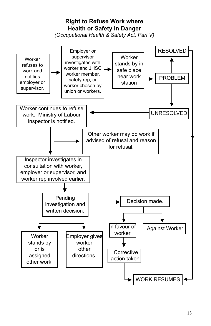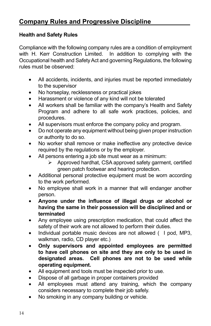#### **Health and Safety Rules**

Compliance with the following company rules are a condition of employment with H. Kerr Construction Limited. In addition to complying with the Occupational health and Safety Act and governing Regulations, the following rules must be observed:

- All accidents, incidents, and injuries must be reported immediately to the supervisor
- No horseplay, recklessness or practical jokes
- Harassment or violence of any kind will not be tolerated
- All workers shall be familiar with the company's Health and Safety Program and adhere to all safe work practices, policies, and procedures.
- All supervisors must enforce the company policy and program.
- Do not operate any equipment without being given proper instruction or authority to do so.
- No worker shall remove or make ineffective any protective device required by the regulations or by the employer.
- All persons entering a job site must wear as a minimum:
	- Approved hardhat, CSA approved safety garment, certified green patch footwear and hearing protection.
- Additional personal protective equipment must be worn according to the work performed.
- No employee shall work in a manner that will endanger another person.
- Anyone under the influence of illegal drugs or alcohol or **having the same in their possession will be disciplined and or terminated**
- Any employee using prescription medication, that could affect the safety of their work are not allowed to perform their duties.
- Individual portable music devices are not allowed ( I pod, MP3, walkman, radio, CD player etc.)
- Only supervisors and appointed employees are permitted **to have cell phones on site and they are only to be used in designated areas. Cell phones are not to be used while operating equipment.**
- All equipment and tools must be inspected prior to use.
- • Dispose of all garbage in proper containers provided
- All employees must attend any training, which the company considers necessary to complete their job safely.
- No smoking in any company building or vehicle.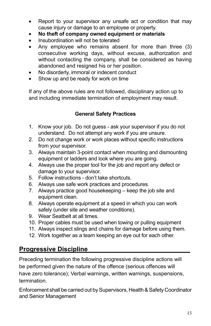- Report to your supervisor any unsafe act or condition that may cause injury or damage to an employee or property.
- No theft of company owned equipment or materials
- Insubordination will not be tolerated
- Any employee who remains absent for more than three  $(3)$ consecutive working days, without excuse, authorization and without contacting the company, shall be considered as having abandoned and resigned his or her position.
- No disorderly, immoral or indecent conduct
- Show up and be ready for work on time

If any of the above rules are not followed, disciplinary action up to and including immediate termination of employment may result.

#### **General Safety Practices**

- 1. Know your job. Do not guess ask your supervisor if you do not understand. Do not attempt any work if you are unsure.
- 2. Do not change work or work places without specific instructions from your supervisor.
- 3. Always maintain 3-point contact when mounting and dismounting equipment or ladders and look where you are going.
- 4. Always use the proper tool for the job and report any defect or damage to your supervisor.
- 5. Follow instructions don't take shortcuts.
- 6. Always use safe work practices and procedures.
- 7. Always practice good housekeeping keep the job site and equipment clean.
- 8. Always operate equipment at a speed in which you can work safely (under site and weather conditions).
- 9. Wear Seatbelt at all times.
- 10. Proper cables must be used when towing or pulling equipment
- 11. Always inspect slings and chains for damage before using them.
- 12. Work together as a team keeping an eye out for each other.

# **Progressive Discipline**

Preceding termination the following progressive discipline actions will be performed given the nature of the offence (serious offences will have zero tolerance); Verbal warnings, written warnings, suspensions, termination.

Enforcement shall be carried out by Supervisors, Health & Safety Coordinator and Senior Management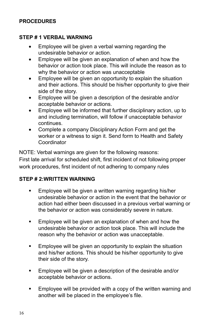#### **PROCEDURES**

#### **STEP # 1 VERBAL WARNING**

- Employee will be given a verbal warning regarding the undesirable behavior or action.
- Employee will be given an explanation of when and how the behavior or action took place. This will include the reason as to why the behavior or action was unacceptable
- Employee will be given an opportunity to explain the situation and their actions. This should be his/her opportunity to give their side of the story.
- Employee will be given a description of the desirable and/or acceptable behavior or actions.
- Employee will be informed that further disciplinary action, up to and including termination, will follow if unacceptable behavior continues.
- Complete a company Disciplinary Action Form and get the worker or a witness to sign it. Send form to Health and Safety Coordinator

NOTE: Verbal warnings are given for the following reasons: First late arrival for scheduled shift, first incident of not following proper work procedures, first incident of not adhering to company rules

#### **STEP # 2:WRITTEN WARNING**

- **Employee will be given a written warning regarding his/her** undesirable behavior or action in the event that the behavior or action had either been discussed in a previous verbal warning or the behavior or action was considerably severe in nature.
- **Employee will be given an explanation of when and how the** undesirable behavior or action took place. This will include the reason why the behavior or action was unacceptable.
- **Employee will be given an opportunity to explain the situation** and his/her actions. This should be his/her opportunity to give their side of the story.
- **Employee will be given a description of the desirable and/or** acceptable behavior or actions.
- **Employee will be provided with a copy of the written warning and** another will be placed in the employee's file.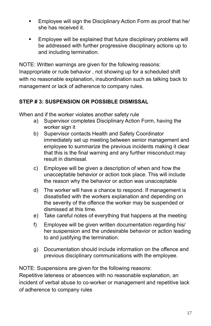- **Employee will sign the Disciplinary Action Form as proof that he/** she has received it.
- **Employee will be explained that future disciplinary problems will** be addressed with further progressive disciplinary actions up to and including termination.

NOTE: Written warnings are given for the following reasons: Inappropriate or rude behavior , not showing up for a scheduled shift with no reasonable explanation, insubordination such as talking back to management or lack of adherence to company rules.

#### **STEP # 3: SUSPENSION OR POSSIBLE DISMISSAL**

When and if the worker violates another safety rule

- a) Supervisor completes Disciplinary Action Form, having the worker sign it
- b) Supervisor contacts Health and Safety Coordinator immediately set up meeting between senior management and employee to summarize the previous incidents making it clear that this is the final warning and any further misconduct may result in dismissal.
- c) Employee will be given a description of when and how the unacceptable behavior or action took place. This will include the reason why the behavior or action was unacceptable
- d) The worker will have a chance to respond. If management is dissatisfied with the workers explanation and depending on the severity of the offence the worker may be suspended or dismissed at this time.
- e) Take careful notes of everything that happens at the meeting
- f) Employee will be given written documentation regarding his/ her suspension and the undesirable behavior or action leading to and justifying the termination.
- g) Documentation should include information on the offence and previous disciplinary communications with the employee.

NOTE: Suspensions are given for the following reasons:

Repetitive lateness or absences with no reasonable explanation, an incident of verbal abuse to co-worker or management and repetitive lack of adherence to company rules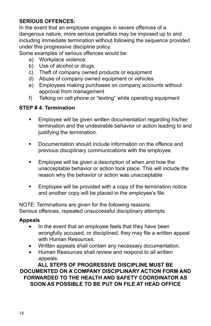#### **SERIOUS OFFENCES:**

In the event that an employee engages in severe offences of a dangerous nature, more serious penalties may be imposed up to and including immediate termination without following the sequence provided under this progressive discipline policy.

Some examples of serious offences would be:

- a) Workplace violence.
- b) Use of alcohol or drugs.
- c) Theft of company owned products or equipment
- d) Abuse of company owned equipment or vehicles
- e) Employees making purchases on company accounts without approval from management
- f) Talking on cell phone or "texting" while operating equipment

#### **STEP # 4. Termination**

- **Employee will be given written documentation regarding his/her** termination and the undesirable behavior or action leading to and justifying the termination.
- **•** Documentation should include information on the offence and previous disciplinary communications with the employee.
- **Employee will be given a description of when and how the** unacceptable behavior or action took place. This will include the reason why the behavior or action was unacceptable
- **Employee will be provided with a copy of the termination notice** and another copy will be placed in the employee's file.

NOTE: Terminations are given for the following reasons: Serious offences, repeated unsuccessful disciplinary attempts

#### **Appeals**

- In the event that an employee feels that they have been wrongfully accused, or disciplined, they may file a written appeal with Human Resources.
- Written appeals shall contain any necessary documentation.
- Human Resources shall review and respond to all written appeals.

**ALL STEPS OF PROGRESSIVE DISCIPLINE MUST BE DOCUMENTED ON A COMPANY DISCIPLINARY ACTION FORM AND FORWARDED TO THE HEALTH AND SAFETY COORDINATOR AS SOON AS POSSIBLE TO BE PUT ON FILE AT HEAD OFFICE**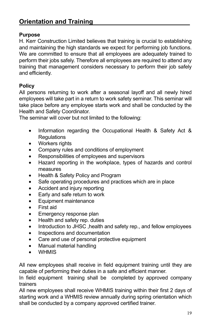# **Orientation and Training**

#### **Purpose**

H. Kerr Construction Limited believes that training is crucial to establishing and maintaining the high standards we expect for performing job functions. We are committed to ensure that all employees are adequately trained to perform their jobs safely. Therefore all employees are required to attend any training that management considers necessary to perform their job safely and efficiently.

#### **Policy**

All persons returning to work after a seasonal layoff and all newly hired employees will take part in a return to work safety seminar. This seminar will take place before any employee starts work and shall be conducted by the Health and Safety Coordinator.

The seminar will cover but not limited to the following:

- Information regarding the Occupational Health & Safety Act & **Requlations**
- Workers rights
- • Company rules and conditions of employment
- Responsibilities of employees and supervisors
- Hazard reporting in the workplace, types of hazards and control measures
- Health & Safety Policy and Program
- Safe operating procedures and practices which are in place
- Accident and injury reporting
- Early and safe return to work
- • Equipment maintenance
- **First aid**
- Emergency response plan
- Health and safety rep. duties
- Introduction to JHSC, health and safety rep., and fellow employees
- Inspections and documentation
- Care and use of personal protective equipment
- Manual material handling
- **WHMIS**

All new employees shall receive in field equipment training until they are capable of performing their duties in a safe and efficient manner.

In field equipment training shall be completed by approved company trainers

All new employees shall receive WHMIS training within their first 2 days of starting work and a WHMIS review annually during spring orientation which shall be conducted by a company approved certified trainer.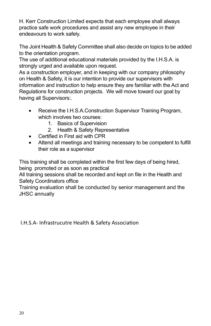H. Kerr Construction Limited expects that each employee shall always practice safe work procedures and assist any new employee in their endeavours to work safely.

The Joint Health & Safety Committee shall also decide on topics to be added to the orientation program.

The use of additional educational materials provided by the I.H.S.A. is strongly urged and available upon request.

As a construction employer, and in keeping with our company philosophy on Health & Safety, it is our intention to provide our supervisors with information and instruction to help ensure they are familiar with the Act and Regulations for construction projects. We will move toward our goal by having all Supervisors:.

- Receive the I.H.S.A.Construction Supervisor Training Program, which involves two courses:
	- 1. Basics of Supervision
	- 2. Health & Safety Representative
- Certified in First aid with CPR
- Attend all meetings and training necessary to be competent to fulfill their role as a supervisor

This training shall be completed within the first few days of being hired, being promoted or as soon as practical

All training sessions shall be recorded and kept on file in the Health and Safety Coordinators office

Training evaluation shall be conducted by senior management and the JHSC annually

I.H.S.A- Infrastrucutre Health & Safety Association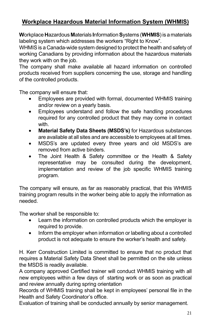# **Workplace Hazardous Material Information System (WHMIS)**

**W**orkplace **H**azardous **M**aterials **I**nformation **S**ystems (**WHMIS**) is a materials labeling system which addresses the workers "Right to Know".

WHMIS is a Canada-wide system designed to protect the health and safety of working Canadians by providing information about the hazardous materials they work with on the job.

The company shall make available all hazard information on controlled products received from suppliers concerning the use, storage and handling of the controlled products.

The company will ensure that:

- Employees are provided with formal, documented WHMIS training and/or review on a yearly basis.
- Employees understand and follow the safe handling procedures required for any controlled product that they may come in contact with.
- • **Material Safety Data Sheets (MSDS's)** for Hazardous substances are available at all sites and are accessible to employees at all times.
- MSDS's are updated every three years and old MSDS's are removed from active binders.
- The Joint Health & Safety committee or the Health & Safety representative may be consulted during the development, implementation and review of the job specific WHMIS training program.

The company will ensure, as far as reasonably practical, that this WHMIS training program results in the worker being able to apply the information as needed.

The worker shall be responsible to:

- Learn the information on controlled products which the employer is required to provide.
- Inform the employer when information or labelling about a controlled product is not adequate to ensure the worker's health and safety.

H. Kerr Construction Limited is committed to ensure that no product that requires a Material Safety Data Sheet shall be permitted on the site unless the MSDS is readily available.

A company approved Certified trainer will conduct WHMIS training with all new employees within a few days of starting work or as soon as practical and review annually during spring orientation

Records of WHMIS training shall be kept in employees' personal file in the Health and Safety Coordinator's office.

Evaluation of training shall be conducted annually by senior management.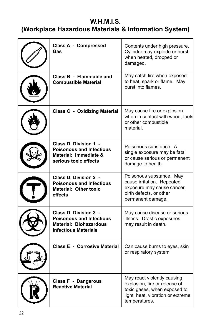# **W.H.M.I.S. (Workplace Hazardous Materials & Information System)**

| <b>Class A - Compressed</b><br>Gas                                                                                       | Contents under high pressure.<br>Cylinder may explode or burst<br>when heated, dropped or<br>damaged.                                              |
|--------------------------------------------------------------------------------------------------------------------------|----------------------------------------------------------------------------------------------------------------------------------------------------|
| Class B - Flammable and<br><b>Combustible Material</b>                                                                   | May catch fire when exposed<br>to heat, spark or flame. May<br>burst into flames.                                                                  |
| <b>Class C - Oxidizing Material</b>                                                                                      | May cause fire or explosion<br>when in contact with wood, fuels<br>or other combustible<br>material.                                               |
| Class D. Division 1 -<br><b>Poisonous and Infectious</b><br>Material: Immediate &<br>serious toxic effects               | Poisonous substance. A<br>single exposure may be fatal<br>or cause serious or permanent<br>damage to health.                                       |
| <b>Class D, Division 2 -</b><br><b>Poisonous and Infectious</b><br><b>Material: Other toxic</b><br>effects               | Poisonous substance. May<br>cause irritation. Repeated<br>exposure may cause cancer,<br>birth defects, or other<br>permanent damage.               |
| Class D, Division 3 -<br><b>Poisonous and Infectious</b><br><b>Material: Biohazardous</b><br><b>Infectious Materials</b> | May cause disease or serious<br>illness. Drastic exposures<br>may result in death.                                                                 |
| <b>Class E - Corrosive Material</b>                                                                                      | Can cause burns to eyes, skin<br>or respiratory system.                                                                                            |
| <b>Class F - Dangerous</b><br><b>Reactive Material</b>                                                                   | May react violently causing<br>explosion, fire or release of<br>toxic gases, when exposed to<br>light, heat, vibration or extreme<br>temperatures. |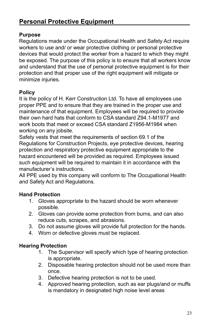#### **Purpose**

Regulations made under the Occupational Health and Safety Act require workers to use and/ or wear protective clothing or personal protective devices that would protect the worker from a hazard to which they might be exposed. The purpose of this policy is to ensure that all workers know and understand that the use of personal protective equipment is for their protection and that proper use of the right equipment will mitigate or minimize injuries.

#### **Policy**

It is the policy of H. Kerr Construction Ltd. To have all employees use proper PPE and to ensure that they are trained in the proper use and maintenance of that equipment. Employees will be required to provide their own hard hats that conform to CSA standard Z94.1-M1977 and work boots that meet or exceed CSA standard Z1956-M1984 when working on any jobsite.

Safety vests that meet the requirements of section 69.1 of the Regulations for Construction Projects, eye protective devices, hearing protection and respiratory protective equipment appropriate to the hazard encountered will be provided as required. Employees issued such equipment will be required to maintain it in accordance with the manufacturer's instructions.

All PPE used by this company will conform to The Occupational Health and Safety Act and Regulations.

#### **Hand Protection**

- 1. Gloves appropriate to the hazard should be worn whenever possible.
- 2. Gloves can provide some protection from burns, and can also reduce cuts, scrapes, and abrasions.
- 3. Do not assume gloves will provide full protection for the hands.
- 4. Worn or defective gloves must be replaced.

#### **Hearing Protection**

- 1. The Supervisor will specify which type of hearing protection is appropriate.
- 2. Disposable hearing protection should not be used more than once.
- 3. Defective hearing protection is not to be used.
- 4. Approved hearing protection, such as ear plugs/and or muffs is mandatory in designated high noise level areas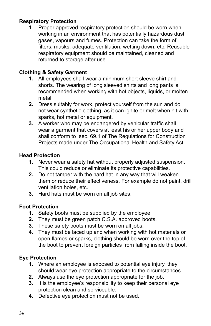#### **Respiratory Protection**

1. Proper approved respiratory protection should be worn when working in an environment that has potentially hazardous dust, gases, vapours and fumes. Protection can take the form of filters, masks, adequate ventilation, wetting down, etc. Reusable respiratory equipment should be maintained, cleaned and returned to storage after use.

#### **Clothing & Safety Garment**

- **1.** All employees shall wear a minimum short sleeve shirt and shorts. The wearing of long sleeved shirts and long pants is recommended when working with hot objects, liquids, or molten metal.
- **2.** Dress suitably for work, protect yourself from the sun and do not wear synthetic clothing, as it can ignite or melt when hit with sparks, hot metal or equipment.
- **3.** A worker who may be endangered by vehicular traffic shall wear a garment that covers at least his or her upper body and shall conform to sec. 69.1 of The Regulations for Construction Projects made under The Occupational Health and Safety Act

#### **Head Protection**

- **1.** Never wear a safety hat without properly adjusted suspension. This could reduce or eliminate its protective capabilities.
- **2.** Do not tamper with the hard hat in any way that will weaken them or reduce their effectiveness. For example do not paint, drill ventilation holes, etc.
- **3.** Hard hats must be worn on all job sites.

#### **Foot Protection**

- **1.** Safety boots must be supplied by the employee
- **2.** They must be green patch C.S.A. approved boots.
- **3.** These safety boots must be worn on all jobs.
- **4.** They must be laced up and when working with hot materials or open flames or sparks, clothing should be worn over the top of the boot to prevent foreign particles from falling inside the boot.

#### **Eye Protection**

- **1.** Where an employee is exposed to potential eye injury, they should wear eye protection appropriate to the circumstances.
- **2.** Always use the eye protection appropriate for the job.
- **3.** It is the employee's responsibility to keep their personal eye protection clean and serviceable.
- **4.** Defective eye protection must not be used.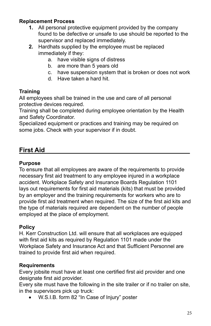#### **Replacement Process**

- **1.** All personal protective equipment provided by the company found to be defective or unsafe to use should be reported to the supervisor and replaced immediately.
- **2.** Hardhats supplied by the employee must be replaced immediately if they:
	- a. have visible signs of distress
	- b. are more than 5 years old
	- c. have suspension system that is broken or does not work
	- d. Have taken a hard hit.

#### **Training**

All employees shall be trained in the use and care of all personal protective devices required.

Training shall be completed during employee orientation by the Health and Safety Coordinator.

Specialized equipment or practices and training may be required on some jobs. Check with your supervisor if in doubt.

# **First Aid**

#### **Purpose**

To ensure that all employees are aware of the requirements to provide necessary first aid treatment to any employee injured in a workplace accident. Workplace Safety and Insurance Boards Regulation 1101 lays out requirements for first aid materials (kits) that must be provided by an employer and the training requirements for workers who are to provide first aid treatment when required. The size of the first aid kits and the type of materials required are dependent on the number of people employed at the place of employment.

#### **Policy**

H. Kerr Construction Ltd. will ensure that all workplaces are equipped with first aid kits as required by Regulation 1101 made under the Workplace Safety and Insurance Act and that Sufficient Personnel are trained to provide first aid when required.

#### **Requirements**

Every jobsite must have at least one certified first aid provider and one designate first aid provider.

Every site must have the following in the site trailer or if no trailer on site, in the supervisors pick up truck:

• W.S.I.B. form 82 "In Case of Injury" poster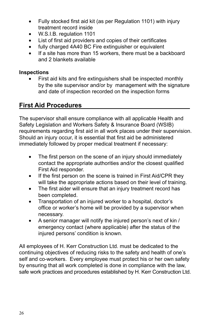- Fully stocked first aid kit (as per Regulation 1101) with injury treatment record inside
- W.S.I.B. regulation 1101
- List of first aid providers and copies of their certificates
- fully charged 4A40 BC Fire extinguisher or equivalent
- If a site has more than 15 workers, there must be a backboard and 2 blankets available

#### **Inspections**

First aid kits and fire extinguishers shall be inspected monthly by the site supervisor and/or by management with the signature and date of inspection recorded on the inspection forms

# **First Aid Procedures**

The supervisor shall ensure compliance with all applicable Health and Safety Legislation and Workers Safety & Insurance Board (WSIB) requirements regarding first aid in all work places under their supervision. Should an injury occur, it is essential that first aid be administered immediately followed by proper medical treatment if necessary:

- The first person on the scene of an injury should immediately contact the appropriate authorities and/or the closest qualified First Aid responder.
- If the first person on the scene is trained in First Aid/CPR they will take the appropriate actions based on their level of training.
- The first aider will ensure that an injury treatment record has been completed.
- Transportation of an injured worker to a hospital, doctor's office or worker's home will be provided by a supervisor when necessary.
- A senior manager will notify the injured person's next of kin / emergency contact (where applicable) after the status of the injured persons' condition is known.

All employees of H. Kerr Construction Ltd. must be dedicated to the continuing objectives of reducing risks to the safety and health of one's self and co-workers. Every employee must protect his or her own safety by ensuring that all work completed is done in compliance with the law, safe work practices and procedures established by H. Kerr Construction Ltd.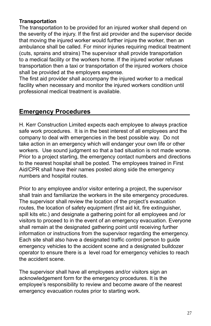#### **Transportation**

The transportation to be provided for an injured worker shall depend on the severity of the injury. If the first aid provider and the supervisor decide that moving the injured worker would further injure the worker, then an ambulance shall be called. For minor injuries requiring medical treatment (cuts, sprains and strains) The supervisor shall provide transportation to a medical facility or the workers home. If the injured worker refuses transportation then a taxi or transportation of the injured workers choice shall be provided at the employers expense.

The first aid provider shall accompany the injured worker to a medical facility when necessary and monitor the injured workers condition until professional medical treatment is available.

## **Emergency Procedures**

H. Kerr Construction Limited expects each employee to always practice safe work procedures. It is in the best interest of all employees and the company to deal with emergencies in the best possible way. Do not take action in an emergency which will endanger your own life or other workers. Use sound judgment so that a bad situation is not made worse. Prior to a project starting, the emergency contact numbers and directions to the nearest hospital shall be posted. The employees trained in First Aid/CPR shall have their names posted along side the emergency numbers and hospital routes.

Prior to any employee and/or visitor entering a project, the supervisor shall train and familiarize the workers in the site emergency procedures. The supervisor shall review the location of the project's evacuation routes, the location of safety equipment (first aid kit, fire extinguisher, spill kits etc.) and designate a gathering point for all employees and /or visitors to proceed to in the event of an emergency evacuation. Everyone shall remain at the designated gathering point until receiving further information or instructions from the supervisor regarding the emergency. Each site shall also have a designated traffic control person to guide emergency vehicles to the accident scene and a designated bulldozer operator to ensure there is a level road for emergency vehicles to reach the accident scene.

The supervisor shall have all employees and/or visitors sign an acknowledgement form for the emergency procedures. It is the employee's responsibility to review and become aware of the nearest emergency evacuation routes prior to starting work.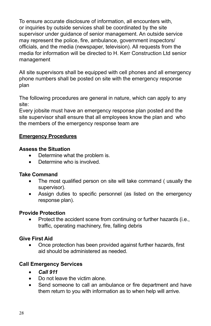To ensure accurate disclosure of information, all encounters with, or inquiries by outside services shall be coordinated by the site supervisor under guidance of senior management. An outside service may represent the police, fire, ambulance, government inspectors/ officials, and the media (newspaper, television). All requests from the media for information will be directed to H. Kerr Construction Ltd senior management

All site supervisors shall be equipped with cell phones and all emergency phone numbers shall be posted on site with the emergency response plan

The following procedures are general in nature, which can apply to any site:

Every jobsite must have an emergency response plan posted and the site supervisor shall ensure that all employees know the plan and who the members of the emergency response team are

#### **Emergency Procedures**

#### **Assess the Situation**

- Determine what the problem is.
- Determine who is involved.

#### **Take Command**

- The most qualified person on site will take command ( usually the supervisor).
- Assign duties to specific personnel (as listed on the emergency response plan).

#### **Provide Protection**

• Protect the accident scene from continuing or further hazards (i.e., traffic, operating machinery, fire, falling debris

#### **Give First Aid**

• Once protection has been provided against further hazards, first aid should be administered as needed.

#### **Call Emergency Services**

- • *Call 911*
- Do not leave the victim alone.
- Send someone to call an ambulance or fire department and have them return to you with information as to when help will arrive.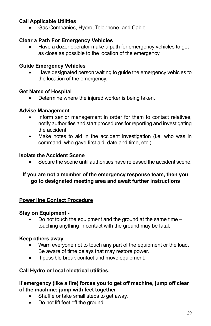#### **Call Applicable Utilities**

Gas Companies, Hydro, Telephone, and Cable

#### **Clear a Path For Emergency Vehicles**

Have a dozer operator make a path for emergency vehicles to get as close as possible to the location of the emergency

#### **Guide Emergency Vehicles**

Have designated person waiting to guide the emergency vehicles to the location of the emergency.

#### **Get Name of Hospital**

• Determine where the injured worker is being taken.

#### **Advise Management**

- Inform senior management in order for them to contact relatives, notify authorities and start procedures for reporting and investigating the accident.
- Make notes to aid in the accident investigation (i.e. who was in command, who gave first aid, date and time, etc.).

#### **Isolate the Accident Scene**

Secure the scene until authorities have released the accident scene.

#### **If you are not a member of the emergency response team, then you go to designated meeting area and await further instructions**

#### **Power line Contact Procedure**

#### **Stay on Equipment -**

Do not touch the equipment and the ground at the same time  $$ touching anything in contact with the ground may be fatal.

#### **Keep others away –**

- Warn everyone not to touch any part of the equipment or the load. Be aware of time delays that may restore power.
- If possible break contact and move equipment.

#### **Call Hydro or local electrical utilities.**

#### **If emergency (like a fire) forces you to get off machine, jump off clear of the machine; jump with feet together**

- Shuffle or take small steps to get away.
- Do not lift feet off the ground.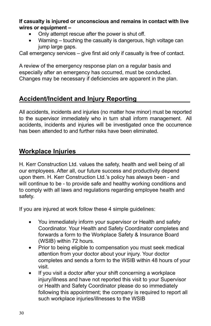#### **If casualty is injured or unconscious and remains in contact with live wires or equipment –**

- Only attempt rescue after the power is shut off.
- Warning touching the casualty is dangerous, high voltage can jump large gaps.

Call emergency services – give first aid only if casualty is free of contact.

A review of the emergency response plan on a regular basis and especially after an emergency has occurred, must be conducted. Changes may be necessary if deficiencies are apparent in the plan.

# **Accident/Incident and Injury Reporting**

All accidents, incidents and injuries (no matter how minor) must be reported to the supervisor immediately who in turn shall inform management. All accidents, incidents and injuries will be investigated once the occurrence has been attended to and further risks have been eliminated.

# **Workplace Injuries**

H. Kerr Construction Ltd. values the safety, health and well being of all our employees. After all, our future success and productivity depend upon them. H. Kerr Construction Ltd.'s policy has always been - and will continue to be - to provide safe and healthy working conditions and to comply with all laws and regulations regarding employee health and safety.

If you are injured at work follow these 4 simple guidelines:

- You immediately inform your supervisor or Health and safety Coordinator. Your Health and Safety Coordinator completes and forwards a form to the Workplace Safety & Insurance Board (WSIB) within 72 hours.
- Prior to being eligible to compensation you must seek medical attention from your doctor about your injury. Your doctor completes and sends a form to the WSIB within 48 hours of your visit.
- If you visit a doctor after your shift concerning a workplace injury/illness and have not reported this visit to your Supervisor or Health and Safety Coordinator please do so immediately following this appointment; the company is required to report all such workplace injuries/illnesses to the WSIB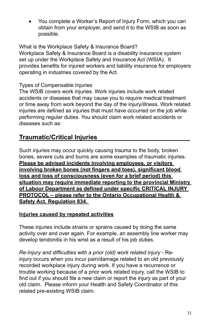You complete a Worker's Report of Injury Form, which you can obtain from your employer, and send it to the WSIB as soon as possible.

What is the Workplace Safety & Insurance Board? Workplace Safety & Insurance Board is a disability insurance system set up under the Workplace Safety and Insurance Act (WSIA). It provides benefits for injured workers and liability insurance for employers operating in industries covered by the Act.

#### Types of Compensable Injuries

The WSIB covers work injuries. Work injuries include work related accidents or diseases that may cause you to require medical treatment or time away from work beyond the day of the injury/illness. Work related injuries are defined as injuries that must have occurred on the job while performing regular duties. You should claim work related accidents or diseases such as:

# **Traumatic/Critical Injuries**

Such injuries may occur quickly causing trauma to the body, broken bones, severe cuts and burns are some examples of traumatic injuries. **Please be advised incidents involving employees, or visitors involving broken bones (not fingers and toes), significant blood loss and loss of consciousness (even for a brief period) this situation may require immediate reporting to the provincial Ministry of Labour Department as defined under specific CRITICAL INJURY PROTOCOL – please refer to the Ontario Occupational Health & Safety Act. Regulation 834.** 

#### **Injuries caused by repeated activities**

These injuries include strains or sprains caused by doing the same activity over and over again. For example, an assembly line worker may develop tendonitis in his wrist as a result of his job duties.

*Re-Injury and difficulties with a prior (old) work related injury* - Reinjury occurs when you incur pain/damage related to an old previously recorded workplace injury during work. If you have a recurrence or trouble working because of a prior work related injury, call the WSIB to find out if you should file a new claim or report the injury as part of your old claim. Please inform your Health and Safety Coordinator of this related pre-existing WSIB claim.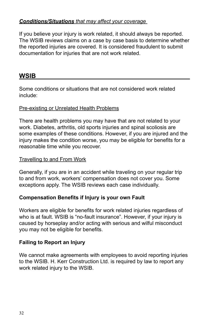#### *Conditions/Situations that may affect your coverage*

If you believe your injury is work related, it should always be reported. The WSIB reviews claims on a case by case basis to determine whether the reported injuries are covered. It is considered fraudulent to submit documentation for injuries that are not work related.

#### **WSIB**

Some conditions or situations that are not considered work related include:

#### Pre-existing or Unrelated Health Problems

There are health problems you may have that are not related to your work. Diabetes, arthritis, old sports injuries and spinal scoliosis are some examples of these conditions. However, if you are injured and the injury makes the condition worse, you may be eligible for benefits for a reasonable time while you recover.

#### Travelling to and From Work

Generally, if you are in an accident while traveling on your regular trip to and from work, workers' compensation does not cover you. Some exceptions apply. The WSIB reviews each case individually.

#### **Compensation Benefits if Injury is your own Fault**

Workers are eligible for benefits for work related injuries regardless of who is at fault. WSIB is "no-fault insurance". However, if your injury is caused by horseplay and/or acting with serious and wilful misconduct you may not be eligible for benefits.

#### **Failing to Report an Injury**

We cannot make agreements with employees to avoid reporting injuries to the WSIB. H. Kerr Construction Ltd. is required by law to report any work related injury to the WSIB.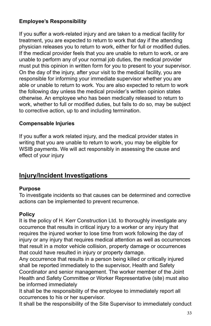#### **Employee's Responsibility**

If you suffer a work-related injury and are taken to a medical facility for treatment, you are expected to return to work that day if the attending physician releases you to return to work, either for full or modified duties. If the medical provider feels that you are unable to return to work, or are unable to perform any of your normal job duties, the medical provider must put this opinion in written form for you to present to your supervisor. On the day of the injury, after your visit to the medical facility, you are responsible for informing your immediate supervisor whether you are able or unable to return to work. You are also expected to return to work the following day unless the medical provider's written opinion states otherwise. An employee who has been medically released to return to work, whether to full or modified duties, but fails to do so, may be subject to corrective action, up to and including termination.

#### **Compensable Injuries**

If you suffer a work related injury, and the medical provider states in writing that you are unable to return to work, you may be eligible for WSIB payments. We will act responsibly in assessing the cause and effect of your injury

## **Injury/Incident Investigations**

#### **Purpose**

To investigate incidents so that causes can be determined and corrective actions can be implemented to prevent recurrence.

#### **Policy**

It is the policy of H. Kerr Construction Ltd. to thoroughly investigate any occurrence that results in critical injury to a worker or any injury that requires the injured worker to lose time from work following the day of injury or any injury that requires medical attention as well as occurrences that result in a motor vehicle collision, property damage or occurrences that could have resulted in injury or property damage.

Any occurrence that results in a person being killed or critically injured shall be reported immediately to the supervisor, Health and Safety Coordinator and senior management. The worker member of the Joint Health and Safety Committee or Worker Representative (site) must also be informed immediately

It shall be the responsibility of the employee to immediately report all occurrences to his or her supervisor.

It shall be the responsibility of the Site Supervisor to immediately conduct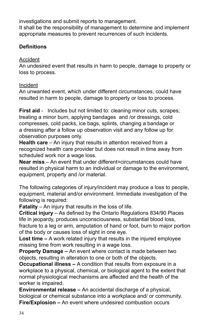investigations and submit reports to management. It shall be the responsibility of management to determine and implement appropriate measures to prevent recurrences of such incidents.

#### **Definitions**

#### Accident

An undesired event that results in harm to people, damage to property or loss to process.

#### Incident

An unwanted event, which under different circumstances, could have resulted in harm to people, damage to property or loss to process.

**First aid** - Includes but not limited to: cleaning minor cuts, scrapes; treating a minor burn, applying bandages and /or dressings, cold compresses, cold packs, ice bags, splints, changing a bandage or a dressing after a follow up observation visit and any follow up for observation purposes only.

**Health care** – An injury that results in attention received from a recognized health care provider but does not result in time away from scheduled work nor a wage loss.

**Near miss** – An event that under different=circumstances could have resulted in physical harm to an individual or damage to the environment, equipment, property and /or material.

The following categories of injury/incident may produce a loss to people, equipment, material and/or environment. Immediate investigation of the following is required:

**Fatality** – An injury that results in the loss of life.

**Critical injury** – As defined by the Ontario Regulations 834/90 Places life in jeopardy, produces unconsciousness, substantial blood loss, fracture to a leg or arm, amputation of hand or foot, burn to major portion of the body or causes loss of sight in one eye.

**Lost time –** A work related injury that results in the injured employee missing time from work resulting in a wage loss.

**Property Damage –** An event where contact is made between two objects, resulting in alteration to one or both of the objects.

**Occupational illness –** A condition that results from exposure in a workplace to a physical, chemical, or biological agent to the extent that normal physiological mechanisms are affected and the health of the worker is impaired.

**Environmental release –** An accidental discharge of a physical, biological or chemical substance into a workplace and/ or community. **Fire/Explosion –** An event where undesired combustion occurs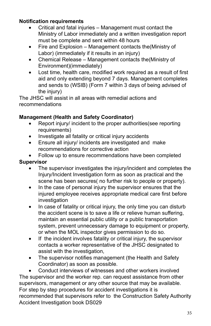#### **Notification requirements**

- Critical and fatal injuries Management must contact the Ministry of Labor immediately and a written investigation report must be complete and sent within 48 hours
- Fire and Explosion Management contacts the (Ministry of Labor) (immediately if it results in an injury)
- Chemical Release Management contacts the (Ministry of Environment)(immediately)
- Lost time, health care, modified work required as a result of first aid and only extending beyond 7 days. Management completes and sends to (WSIB) (Form 7 within 3 days of being advised of the injury)

The JHSC will assist in all areas with remedial actions and recommendations

#### **Management (Health and Safety Coordinator)**

- Report injury/ incident to the proper authorities(see reporting requirements)
- • Investigate all fatality or critical injury accidents
- Ensure all injury/ incidents are investigated and make recommendations for corrective action
- Follow up to ensure recommendations have been completed

#### **Supervisor**

- The supervisor investigates the injury/incident and completes the Injury/Incident Investigation form as soon as practical and the scene has been secures( no further risk to people or property).
- In the case of personal injury the supervisor ensures that the injured employee receives appropriate medical care first before investigation
- In case of fatality or critical injury, the only time you can disturb the accident scene is to save a life or relieve human suffering, maintain an essential public utility or a public transportation system, prevent unnecessary damage to equipment or property, or when the MOL inspector gives permission to do so.
- If the incident involves fatality or critical injury, the supervisor contacts a worker representative of the JHSC designated to assist with the investigation,
- The supervisor notifies management (the Health and Safety Coordinator) as soon as possible.

Conduct interviews of witnesses and other workers involved The supervisor and the worker rep. can request assistance from other supervisors, management or any other source that may be available. For step by step procedures for accident investigations it is recommended that supervisors refer to the Construction Safety Authority Accident Investigation book DS029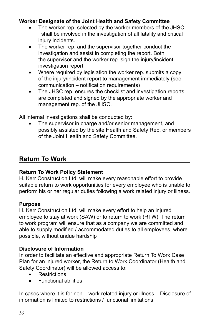#### **Worker Designate of the Joint Health and Safety Committee**

- The worker rep. selected by the worker members of the JHSC , shall be involved in the investigation of all fatality and critical injury incidents.
- The worker rep. and the supervisor together conduct the investigation and assist in completing the report. Both the supervisor and the worker rep. sign the injury/incident investigation report
- Where required by legislation the worker rep. submits a copy of the injury/incident report to management immediately (see communication – notification requirements)
- The JHSC rep. ensures the checklist and investigation reports are completed and signed by the appropriate worker and management rep. of the JHSC.

All internal investigations shall be conducted by:

The supervisor in charge and/or senior management, and possibly assisted by the site Health and Safety Rep. or members of the Joint Health and Safety Committee.

### **Return To Work**

#### **Return To Work Policy Statement**

H. Kerr Construction Ltd. will make every reasonable effort to provide suitable return to work opportunities for every employee who is unable to perform his or her regular duties following a work related injury or illness.

#### **Purpose**

H. Kerr Construction Ltd. will make every effort to help an injured employee to stay at work (SAW) or to return to work (RTW). The return to work program will ensure that as a company we are committed and able to supply modified / accommodated duties to all employees, where possible, without undue hardship

#### **Disclosure of Information**

In order to facilitate an effective and appropriate Return To Work Case Plan for an injured worker, the Return to Work Coordinator (Health and Safety Coordinator) will be allowed access to:

- • Restrictions
- • Functional abilities

In cases where it is for non – work related injury or illness – Disclosure of information is limited to restrictions / functional limitations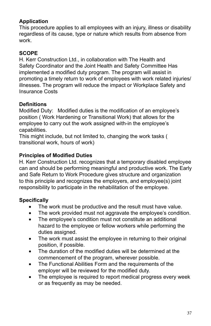### **Application**

This procedure applies to all employees with an injury, illness or disability regardless of its cause, type or nature which results from absence from work.

### **SCOPE**

H. Kerr Construction Ltd., in collaboration with The Health and Safety Coordinator and the Joint Health and Safety Committee Has implemented a modified duty program. The program will assist in promoting a timely return to work of employees with work related injuries/ illnesses. The program will reduce the impact or Workplace Safety and Insurance Costs

#### **Definitions**

Modified Duty: Modified duties is the modification of an employee's position ( Work Hardening or Transitional Work) that allows for the employee to carry out the work assigned with-in the employee's capabilities.

This might include, but not limited to, changing the work tasks ( transitional work, hours of work)

#### **Principles of Modified Duties**

H. Kerr Construction Ltd. recognizes that a temporary disabled employee can and should be performing meaningful and productive work. The Early and Safe Return to Work Procedure gives structure and organization to this principle and recognizes the employers, and employee(s) joint responsibility to participate in the rehabilitation of the employee.

### **Specifically**

- The work must be productive and the result must have value.
- The work provided must not aggravate the employee's condition.<br>• The emplovee's condition must not constitute an additional
- The employee's condition must not constitute an additional hazard to the employee or fellow workers while performing the duties assigned.
- The work must assist the employee in returning to their original position, if possible.
- The duration of the modified duties will be determined at the commencement of the program, wherever possible.
- The Functional Abilities Form and the requirements of the employer will be reviewed for the modified duty.
- The employee is required to report medical progress every week or as frequently as may be needed.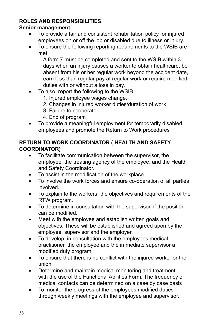### **ROLES AND RESPONSIBILITIES**

#### **Senior management**

- To provide a fair and consistent rehabilitation policy for injured employees on or off the job or disabled due to illness or injury.
- To ensure the following reporting requirements to the WSIB are met:

A form 7 must be completed and sent to the WSIB within 3 days when an injury causes a worker to obtain healthcare, be absent from his or her regular work beyond the accident date, earn less than regular pay at regular work or require modified duties with or without a loss in pay.

- To also report the following to the WSIB
	- 1. Injured employee wages change.
	- 2. Changes in injured worker duties/duration of work
	- 3. Failure to cooperate
	- 4. End of program
- To provide a meaningful employment for temporarily disabled employees and promote the Return to Work procedures

#### **RETURN TO WORK COORDINATOR ( HEALTH AND SAFETY COORDINATOR)**

- To facilitate communication between the supervisor, the employee, the treating agency of the employee, and the Health and Safety Coordinator.
- To assist in the modification of the workplace.
- • To involve the work forces and ensure co-operation of all parties involved.
- • To explain to the workers, the objectives and requirements of the RTW program.
- To determine in consultation with the supervisor, if the position can be modified.
- Meet with the employee and establish written goals and objectives. These will be established and agreed upon by the employee, supervisor and the employer.
- • To develop, in consultation with the employees medical practitioner, the employee and the immediate supervisor a modified duty program.
- To ensure that there is no conflict with the injured worker or the union
- Determine and maintain medical monitoring and treatment with the use of the Functional Abilities Form. The frequency of medical contacts can be determined on a case by case basis
- To monitor the progress of the employees modified duties through weekly meetings with the employee and supervisor.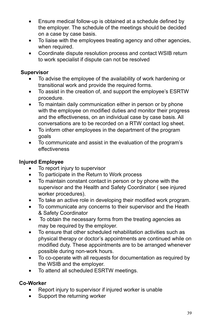- Ensure medical follow-up is obtained at a schedule defined by the employer. The schedule of the meetings should be decided on a case by case basis.
- To liaise with the employees treating agency and other agencies, when required.
- Coordinate dispute resolution process and contact WSIB return to work specialist if dispute can not be resolved

#### **Supervisor**

- To advise the employee of the availability of work hardening or transitional work and provide the required forms.
- To assist in the creation of, and support the employee's ESRTW procedure.
- To maintain daily communication either in person or by phone with the employee on modified duties and monitor their progress and the effectiveness, on an individual case by case basis. All conversations are to be recorded on a RTW contact log sheet.
- To inform other employees in the department of the program goals
- To communicate and assist in the evaluation of the program's effectiveness

### **Injured Employee**

- To report injury to supervisor
- To participate in the Return to Work process<br>• To maintain constant contact in person or by
- To maintain constant contact in person or by phone with the supervisor and the Health and Safety Coordinator ( see injured worker procedures).
- To take an active role in developing their modified work program.
- To communicate any concerns to their supervisor and the Heath & Safety Coordinator
- To obtain the necessary forms from the treating agencies as may be required by the employer.
- To ensure that other scheduled rehabilitation activities such as physical therapy or doctor's appointments are continued while on modified duty. These appointments are to be arranged whenever possible during non-work hours.
- To co-operate with all requests for documentation as required by the WSIB and the employer.
- To attend all scheduled ESRTW meetings.

### **Co-Worker**

- Report injury to supervisor if injured worker is unable
- Support the returning worker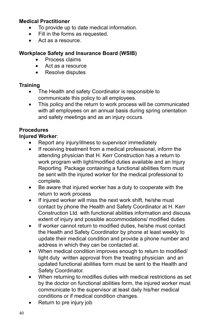#### **Medical Practitioner**

- • To provide up to date medical information.
- • Fill in the forms as requested.
- • Act as a resource.

### **Workplace Safety and Insurance Board (WSIB)**

- Process claims
- Act as a resource
- Resolve disputes

### **Training**

- The Health and safety Coordinator is responsible to communicate this policy to all employees.
- This policy and the return to work process will be communicated with all employees on an annual basis during spring orientation and safety meetings and as an injury occurs

### **Procedures**

### **Injured Worker**:

- Report any injury/illness to supervisor immediately
- If receiving treatment from a medical professional, inform the attending physician that H. Kerr Construction has a return to work program with light/modified duties available and an Injury Reporting Package containing a functional abilities form must be sent with the injured worker for the medical professional to complete.
- Be aware that injured worker has a duty to cooperate with the return to work process
- If injured worker will miss the next work shift, he/she must contact by phone the Health and Safety Coordinator at H. Kerr Construction Ltd. with functional abilities information and discuss extent of injury and possible accommodations/ modified duties
- If worker cannot return to modified duties, he/she must contact the Health and Safety Coordinator by phone at least weekly to update their medical condition and provide a phone number and address in which they can be contacted at.
- When medical condition improves enough to return to modified/ light duty written approval from the treating physician and an updated functional abilities form must be sent to the Health and Safety Coordinator.
- When returning to modifies duties with medical restrictions as set by the doctor on functional abilities form, the injured worker must communicate to the supervisor at least daily his/her medical conditions or if medical condition changes.
- Return to pre injury job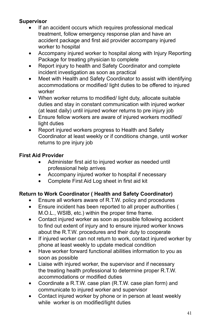### **Supervisor**

- If an accident occurs which requires professional medical treatment, follow emergency response plan and have an accident package and first aid provider accompany injured worker to hospital
- Accompany injured worker to hospital along with Injury Reporting Package for treating physician to complete
- Report injury to health and Safety Coordinator and complete incident investigation as soon as practical
- Meet with Health and Safety Coordinator to assist with identifying accommodations or modified/ light duties to be offered to injured worker
- When worker returns to modified/ light duty, allocate suitable duties and stay in constant communication with injured worker (at least daily) until injured worker returns to pre injury job
- Ensure fellow workers are aware of injured workers modified/ light duties
- Report injured workers progress to Health and Safety Coordinator at least weekly or if conditions change, until worker returns to pre injury job

### **First Aid Provider**

- • Administer first aid to injured worker as needed until professional help arrives
- Accompany injured worker to hospital if necessary
- • Complete First Aid Log sheet in first aid kit

## **Return to Work Coordinator ( Health and Safety Coordinator)**

- Ensure all workers aware of R.T.W. policy and procedures
- • Ensure incident has been reported to all proper authorities ( M.O.L., WSIB, etc.) within the proper time frame.
- Contact injured worker as soon as possible following accident to find out extent of injury and to ensure injured worker knows about the R.T.W. procedures and their duty to cooperate
- If injured worker can not return to work, contact injured worker by phone at least weekly to update medical condition
- Have worker forward functional abilities information to you as soon as possible
- Liaise with injured worker, the supervisor and if necessary the treating health professional to determine proper R.T.W. accommodations or modified duties
- Coordinate a R.T.W. case plan (R.T.W. case plan form) and communicate to injured worker and supervisor
- Contact injured worker by phone or in person at least weekly while worker is on modified/light duties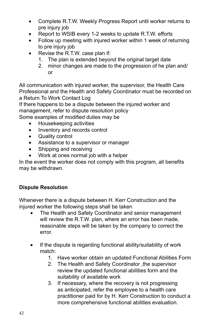- Complete R.T.W. Weekly Progress Report until worker returns to pre injury job
- Report to WSIB every 1-2 weeks to update R.T.W. efforts
- Follow up meeting with injured worker within 1 week of returning to pre injury job
- Revise the R.T.W. case plan if:
	- 1. The plan is extended beyond the original target date
	- 2. minor changes are made to the progression of he plan and/ or

All communication with injured worker, the supervisor, the Health Care Professional and the Health and Safety Coordinator must be recorded on a Return To Work Contact Log

If there happens to be a dispute between the injured worker and management, refer to dispute resolution policy

Some examples of modified duties may be

- • Housekeeping activities
- Inventory and records control
- Quality control
- Assistance to a supervisor or manager
- Shipping and receiving
- Work at ones normal job with a helper

In the event the worker does not comply with this program, all benefits may be withdrawn.

### **Dispute Resolution**

Whenever there is a dispute between H. Kerr Construction and the injured worker the following steps shall be taken

- The Health and Safety Coordinator and senior management will review the R.T.W. plan, where an error has been made, reasonable steps will be taken by the company to correct the error.
- If the dispute is regarding functional ability/suitability of work match:
	- 1. Have worker obtain an updated Functional Abilities Form
	- 2. The Health and Safety Coordinator ,the supervisor review the updated functional abilities form and the suitability of available work
	- 3. If necessary, where the recovery is not progressing as anticipated, refer the employee to a health care practitioner paid for by H. Kerr Construction to conduct a more comprehensive functional abilities evaluation.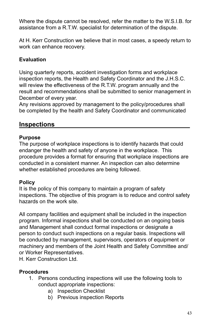Where the dispute cannot be resolved, refer the matter to the W.S.I.B. for assistance from a R.T.W. specialist for determination of the dispute.

At H. Kerr Construction we believe that in most cases, a speedy return to work can enhance recovery.

### **Evaluation**

Using quarterly reports, accident investigation forms and workplace inspection reports, the Health and Safety Coordinator and the J.H.S.C. will review the effectiveness of the R.T.W. program annually and the result and recommendations shall be submitted to senior management in December of every year.

Any revisions approved by management to the policy/procedures shall be completed by the health and Safety Coordinator and communicated

### **Inspections**

#### **Purpose**

The purpose of workplace inspections is to identify hazards that could endanger the health and safety of anyone in the workplace. This procedure provides a format for ensuring that workplace inspections are conducted in a consistent manner. An inspection can also determine whether established procedures are being followed.

#### **Policy**

It is the policy of this company to maintain a program of safety inspections. The objective of this program is to reduce and control safety hazards on the work site.

All company facilities and equipment shall be included in the inspection program. Informal inspections shall be conducted on an ongoing basis and Management shall conduct formal inspections or designate a person to conduct such inspections on a regular basis. Inspections will be conducted by management, supervisors, operators of equipment or machinery and members of the Joint Health and Safety Committee and/ or Worker Representatives.

H. Kerr Construction Ltd.

### **Procedures**

- 1. Persons conducting inspections will use the following tools to conduct appropriate inspections:
	- a) Inspection Checklist
	- b) Previous inspection Reports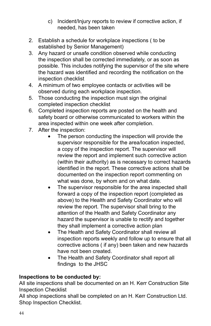- c) Incident/Injury reports to review if corrective action, if needed, has been taken
- 2. Establish a schedule for workplace inspections ( to be established by Senior Management)
- 3. Any hazard or unsafe condition observed while conducting the inspection shall be corrected immediately, or as soon as possible. This includes notifying the supervisor of the site where the hazard was identified and recording the notification on the inspection checklist
- 4. A minimum of two employee contacts or activities will be observed during each workplace inspection.
- 5. Those conducting the inspection must sign the original completed inspection checklist
- 6. Completed inspection reports are posted on the health and safety board or otherwise communicated to workers within the area inspected within one week after completion.
- 7. After the inspection:
	- The person conducting the inspection will provide the supervisor responsible for the area/location inspected, a copy of the inspection report. The supervisor will review the report and implement such corrective action (within their authority) as is necessary to correct hazards identified in the report. These corrective actions shall be documented on the inspection report commenting on what was done, by whom and on what date.
	- The supervisor responsible for the area inspected shall forward a copy of the inspection report (completed as above) to the Health and Safety Coordinator who will review the report. The supervisor shall bring to the attention of the Health and Safety Coordinator any hazard the supervisor is unable to rectify and together they shall implement a corrective action plan
	- The Health and Safety Coordinator shall review all inspection reports weekly and follow up to ensure that all corrective actions ( if any) been taken and new hazards have not been created.
	- The Health and Safety Coordinator shall report all findings to the JHSC

### **Inspections to be conducted by:**

All site inspections shall be documented on an H. Kerr Construction Site Inspection Checklist

All shop inspections shall be completed on an H. Kerr Construction Ltd. Shop Inspection Checklist.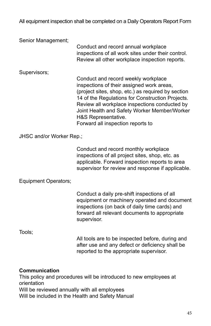All equipment inspection shall be completed on a Daily Operators Report Form

Senior Management;

Conduct and record annual workplace inspections of all work sites under their control. Review all other workplace inspection reports.

Supervisors;

Conduct and record weekly workplace inspections of their assigned work areas, (project sites, shop, etc.) as required by section 14 of the Regulations for Construction Projects. Review all workplace inspections conducted by Joint Health and Safety Worker Member/Worker H&S Representative. Forward all inspection reports to

JHSC and/or Worker Rep.;

Conduct and record monthly workplace inspections of all project sites, shop, etc. as applicable. Forward inspection reports to area supervisor for review and response if applicable.

Equipment Operators;

Conduct a daily pre-shift inspections of all equipment or machinery operated and document inspections (on back of daily time cards) and forward all relevant documents to appropriate supervisor.

Tools;

All tools are to be inspected before, during and after use and any defect or deficiency shall be reported to the appropriate supervisor.

#### **Communication**

This policy and procedures will be introduced to new employees at orientation Will be reviewed annually with all employees Will be included in the Health and Safety Manual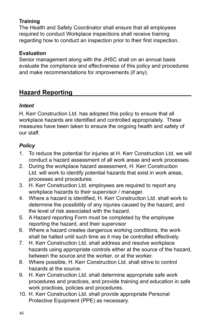### **Training**

The Health and Safety Coordinator shall ensure that all employees required to conduct Workplace inspections shall receive training regarding how to conduct an inspection prior to their first inspection.

#### **Evaluation**

Senior management along with the JHSC shall on an annual basis evaluate the compliance and effectiveness of this policy and procedures and make recommendations for improvements (if any).

# **Hazard Reporting**

#### *Intent*

H. Kerr Construction Ltd. has adopted this policy to ensure that all workplace hazards are identified and controlled appropriately. These measures have been taken to ensure the ongoing health and safety of our staff.

### *Policy*

- 1. To reduce the potential for injuries at H. Kerr Construction Ltd. we will conduct a hazard assessment of all work areas and work processes.
- 2. During the workplace hazard assessment, H. Kerr Construction Ltd. will work to identify potential hazards that exist in work areas, processes and procedures.
- 3. H. Kerr Construction Ltd. employees are required to report any workplace hazards to their supervisor / manager.
- 4. Where a hazard is identified, H. Kerr Construction Ltd. shall work to determine the possibility of any injuries caused by the hazard, and the level of risk associated with the hazard.
- 5. A Hazard reporting Form must be completed by the employee reporting the hazard, and their supervisor
- 6. Where a hazard creates dangerous working conditions, the work shall be halted until such time as it may be controlled effectively.
- 7. H. Kerr Construction Ltd. shall address and resolve workplace hazards using appropriate controls either at the source of the hazard, between the source and the worker, or at the worker.
- 8. Where possible, H. Kerr Construction Ltd. shall strive to control hazards at the source.
- 9. H. Kerr Construction Ltd. shall determine appropriate safe work procedures and practices, and provide training and education in safe work practices, policies and procedures.
- 10. H. Kerr Construction Ltd. shall provide appropriate Personal Protective Equipment (PPE) as necessary.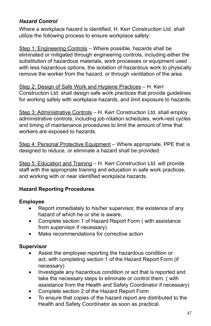### *Hazard Control*

Where a workplace hazard is identified, H. Kerr Construction Ltd. shall utilize the following process to ensure workplace safety:

Step 1: Engineering Controls – Where possible, hazards shall be eliminated or mitigated through engineering controls, including either the substitution of hazardous materials, work processes or equipment used with less hazardous options, the isolation of hazardous work to physically remove the worker from the hazard, or through ventilation of the area.

Step 2: Design of Safe Work and Hygiene Practices – H. Kerr Construction Ltd. shall design safe work practices that provide guidelines for working safely with workplace hazards, and limit exposure to hazards.

Step 3: Administrative Controls – H. Kerr Construction Ltd. shall employ administrative controls, including job rotation schedules, work-rest cycles and timing of maintenance procedures to limit the amount of time that workers are exposed to hazards.

Step 4: Personal Protective Equipment - Where appropriate, PPE that is designed to reduce, or eliminate a hazard shall be provided.

Step 5: Education and Training - H. Kerr Construction Ltd. will provide staff with the appropriate training and education in safe work practices, and working with or near identified workplace hazards.

#### **Hazard Reporting Procedures**

### **Employee**

- Report immediately to his/her supervisor, the existence of any hazard of which he or she is aware.
- Complete section 1 of Hazard Report Form (with assistance from supervisor if necessary).
- Make recommendations for corrective action

#### **Supervisor**

- Assist the employee reporting the hazardous condition or act, with completing section 1 of the Hazard Report Form (if necessary)
- Investigate any hazardous condition or act that is reported and take the necessary steps to eliminate or control them. ( with assistance from the Health and Safety Coordinator if necessary)
- Complete section 2 of the Hazard Report Form
- To ensure that copies of the hazard report are distributed to the Health and Safety Coordinator as soon as practical.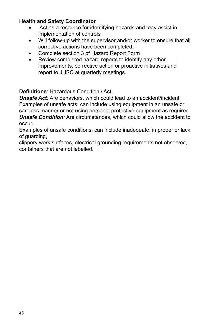#### **Health and Safety Coordinator**

- Act as a resource for identifying hazards and may assist in implementation of controls
- Will follow-up with the supervisor and/or worker to ensure that all corrective actions have been completed.
- Complete section 3 of Hazard Report Form
- Review completed hazard reports to identify any other improvements, corrective action or proactive initiatives and report to JHSC at quarterly meetings.

### **Definitions**: Hazardous Condition / Act:

*Unsafe Act:* Are behaviors, which could lead to an accident/incident. Examples of unsafe acts: can include using equipment in an unsafe or careless manner or not using personal protective equipment as required. *Unsafe Condition:* Are circumstances, which could allow the accident to occur.

Examples of unsafe conditions: can include inadequate, improper or lack of guarding,

slippery work surfaces, electrical grounding requirements not observed, containers that are not labelled.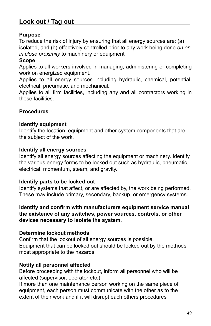# **Lock out / Tag out**

#### **Purpose**

To reduce the risk of injury by ensuring that all energy sources are: (a) isolated, and (b) effectively controlled prior to any work being done *on or in close proximity* to machinery or equipment

#### **Scope**

Applies to all workers involved in managing, administering or completing work on energized equipment.

Applies to all energy sources including hydraulic, chemical, potential, electrical, pneumatic, and mechanical.

Applies to all firm facilities, including any and all contractors working in these facilities.

#### **Procedures**

#### **Identify equipment**

Identify the location, equipment and other system components that are the subject of the work.

#### **Identify all energy sources**

Identify all energy sources affecting the equipment or machinery. Identify the various energy forms to be locked out such as hydraulic, pneumatic, electrical, momentum, steam, and gravity.

#### **Identify parts to be locked out**

Identify systems that affect, or are affected by, the work being performed. These may include primary, secondary, backup, or emergency systems.

#### **Identify and confirm with manufacturers equipment service manual the existence of any switches, power sources, controls, or other devices necessary to isolate the system.**

#### **Determine lockout methods**

Confirm that the lockout of all energy sources is possible. Equipment that can be locked out should be locked out by the methods most appropriate to the hazards

#### **Notify all personnel affected**

Before proceeding with the lockout, inform all personnel who will be affected (supervisor, operator etc.).

If more than one maintenance person working on the same piece of equipment, each person must communicate with the other as to the extent of their work and if it will disrupt each others procedures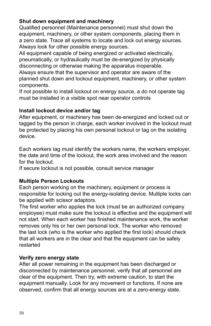#### **Shut down equipment and machinery**

Qualified personnel (Maintenance personnel) must shut down the equipment, machinery, or other system components, placing them in a zero state. Trace all systems to locate and lock out energy sources. Always look for other possible energy sources.

All equipment capable of being energized or activated electrically, pneumatically, or hydraulically must be de-energized by physically disconnecting or otherwise making the apparatus inoperable.

Always ensure that the supervisor and operator are aware of the planned shut down and lockout equipment, machinery, or other system components.

If not possible to install lockout on energy source, a do not operate tag must be installed in a visible spot near operator controls

#### **Install lockout device and/or tag**

After equipment, or machinery has been de-energized and locked out or tagged by the person in charge, each worker involved in the lockout must be protected by placing his own personal lockout or tag on the isolating device.

Each workers tag must identify the workers name, the workers employer, the date and time of the lockout, the work area involved and the reason for the lockout.

If secure lockout is not possible, consult service manager

#### **Multiple Person Lockouts**

Each person working on the machinery, equipment or process is responsible for locking out the energy-isolating device. Multiple locks can be applied with scissor adaptors.

The first worker who applies the lock (must be an authorized company employee) must make sure the lockout is effective and the equipment will not start. When each worker has finished maintenance work, the worker removes only his or her own personal lock. The worker who removed the last lock (who is the worker who applied the first lock) should check that all workers are in the clear and that the equipment can be safely restarted

#### **Verify zero energy state**

After all power remaining in the equipment has been discharged or disconnected by maintenance personnel, verify that all personnel are clear of the equipment. Then try, with extreme caution, to start the equipment manually. Look for any movement or functions. If none are observed, confirm that all energy sources are at a zero-energy state.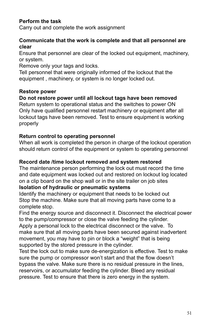### **Perform the task**

Carry out and complete the work assignment

#### **Communicate that the work is complete and that all personnel are clear**

Ensure that personnel are clear of the locked out equipment, machinery, or system.

Remove only your tags and locks.

Tell personnel that were originally informed of the lockout that the equipment , machinery, or system is no longer locked out.

#### **Restore power**

### **Do not restore power until all lockout tags have been removed**

Return system to operational status and the switches to power ON Only have qualified personnel restart machinery or equipment after all lockout tags have been removed. Test to ensure equipment is working properly

#### **Return control to operating personnel**

When all work is completed the person in charge of the lockout operation should return control of the equipment or system to operating personnel

#### **Record date /time lockout removed and system restored**

The maintenance person performing the lock out must record the time and date equipment was locked out and restored on lockout log located on a clip board on the shop wall or in the site trailer on job sites

#### **Isolation of hydraulic or pneumatic systems**

Identify the machinery or equipment that needs to be locked out Stop the machine. Make sure that all moving parts have come to a complete stop.

Find the energy source and disconnect it. Disconnect the electrical power to the pump/compressor or close the valve feeding the cylinder.

Apply a personal lock to the electrical disconnect or the valve. To make sure that all moving parts have been secured against inadvertent movement, you may have to pin or block a "weight" that is being supported by the stored pressure in the cylinder.

Test the lock out to make sure de-energization is effective. Test to make sure the pump or compressor won't start and that the flow doesn't bypass the valve. Make sure there is no residual pressure in the lines, reservoirs, or accumulator feeding the cylinder. Bleed any residual pressure. Test to ensure that there is zero energy in the system.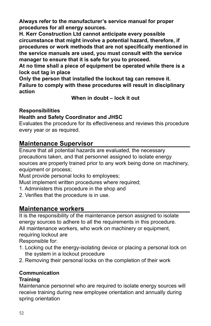**Always refer to the manufacturer's service manual for proper procedures for all energy sources.**

**H. Kerr Construction Ltd cannot anticipate every possible circumstance that might involve a potential hazard, therefore, if procedures or work methods that are not specifically mentioned in the service manuals are used, you must consult with the service manager to ensure that it is safe for you to proceed.**

**At no time shall a piece of equipment be operated while there is a lock out tag in place**

**Only the person that installed the lockout tag can remove it. Failure to comply with these procedures will result in disciplinary action** 

**When in doubt – lock it out**

#### **Responsibilities**

#### **Health and Safety Coordinator and JHSC**

Evaluates the procedure for its effectiveness and reviews this procedure every year or as required.

### **Maintenance Supervisor**

Ensure that all potential hazards are evaluated, the necessary precautions taken, and that personnel assigned to isolate energy sources are properly trained prior to any work being done on machinery, equipment or process;

Must provide personal locks to employees;

Must implement written procedures where required;

1. Administers this procedure in the shop and

2. Verifies that the procedure is in use.

### **Maintenance workers**

It is the responsibility of the maintenance person assigned to isolate energy sources to adhere to all the requirements in this procedure. All maintenance workers, who work on machinery or equipment, requiring lockout are

Responsible for:

- 1. Locking out the energy-isolating device or placing a personal lock on the system in a lockout procedure
- 2. Removing their personal locks on the completion of their work

# **Communication**

### **Training**

Maintenance personnel who are required to isolate energy sources will receive training during new employee orientation and annually during spring orientation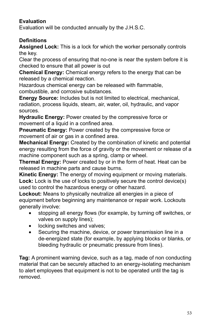### **Evaluation**

Evaluation will be conducted annually by the J.H.S.C.

### **Definitions**

**Assigned Lock:** This is a lock for which the worker personally controls the key.

Clear the process of ensuring that no-one is near the system before it is checked to ensure that all power is out

**Chemical Energy:** Chemical energy refers to the energy that can be released by a chemical reaction.

Hazardous chemical energy can be released with flammable, combustible, and corrosive substances.

**Energy Source:** Includes but is not limited to electrical, mechanical, radiation, process liquids, steam, air, water, oil, hydraulic, and vapor sources.

**Hydraulic Energy:** Power created by the compressive force or movement of a liquid in a confined area.

**Pneumatic Energy:** Power created by the compressive force or movement of air or gas in a confined area.

**Mechanical Energy:** Created by the combination of kinetic and potential energy resulting from the force of gravity or the movement or release of a machine component such as a spring, clamp or wheel.

**Thermal Energy:** Power created by or in the form of heat. Heat can be released in machine parts and cause burns.

**Kinetic Energy:** The energy of moving equipment or moving materials. Lock: Lock is the use of locks to positively secure the control device(s) used to control the hazardous energy or other hazard.

**Lockout:** Means to physically neutralize all energies in a piece of equipment before beginning any maintenance or repair work. Lockouts generally involve:

- stopping all energy flows (for example, by turning off switches, or valves on supply lines);
- locking switches and valves;
- Securing the machine, device, or power transmission line in a de-energized state (for example, by applying blocks or blanks, or bleeding hydraulic or pneumatic pressure from lines).

**Tag:** A prominent warning device, such as a tag, made of non conducting material that can be securely attached to an energy-isolating mechanism to alert employees that equipment is not to be operated until the tag is removed.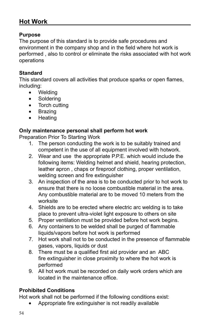# **Hot Work**

#### **Purpose**

The purpose of this standard is to provide safe procedures and environment in the company shop and in the field where hot work is performed , also to control or eliminate the risks associated with hot work operations

#### **Standard**

This standard covers all activities that produce sparks or open flames, including:

- **Welding**
- Soldering
- Torch cutting
- • Brazing
- • Heating

#### **Only maintenance personal shall perform hot work**

Preparation Prior To Starting Work

- 1. The person conducting the work is to be suitably trained and competent in the use of all equipment involved with hotwork.
- 2. Wear and use the appropriate P.P.E. which would include the following items: Welding helmet and shield, hearing protection, leather apron , chaps or fireproof clothing, proper ventilation, welding screen and fire extinguisher
- 3. An inspection of the area is to be conducted prior to hot work to ensure that there is no loose combustible material in the area. Any combustible material are to be moved 10 meters from the worksite
- 4. Shields are to be erected where electric arc welding is to take place to prevent ultra-violet light exposure to others on site
- 5. Proper ventilation must be provided before hot work begins.
- 6. Any containers to be welded shall be purged of flammable liquids/vapors before hot work is performed
- 7. Hot work shall not to be conducted in the presence of flammable gases, vapors, liquids or dust
- 8. There must be a qualified first aid provider and an ABC fire extinguisher in close proximity to where the hot work is performed
- 9. All hot work must be recorded on daily work orders which are located in the maintenance office.

### **Prohibited Conditions**

Hot work shall not be performed if the following conditions exist:

Appropriate fire extinguisher is not readily available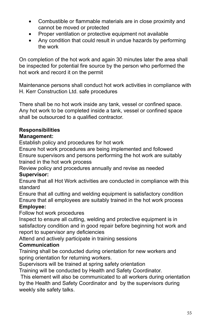- Combustible or flammable materials are in close proximity and cannot be moved or protected
- Proper ventilation or protective equipment not available
- Any condition that could result in undue hazards by performing the work

On completion of the hot work and again 30 minutes later the area shall be inspected for potential fire source by the person who performed the hot work and record it on the permit

Maintenance persons shall conduct hot work activities in compliance with H. Kerr Construction Ltd. safe procedures

There shall be no hot work inside any tank, vessel or confined space. Any hot work to be completed inside a tank, vessel or confined space shall be outsourced to a qualified contractor.

### **Responsibilities**

#### **Management:**

Establish policy and procedures for hot work

Ensure hot work procedures are being implemented and followed Ensure supervisors and persons performing the hot work are suitably trained in the hot work process

Review policy and procedures annually and revise as needed **Supervisor:**

Ensure that all Hot Work activities are conducted in compliance with this standard

Ensure that all cutting and welding equipment is satisfactory condition Ensure that all employees are suitably trained in the hot work process

#### **Employee:**

Follow hot work procedures

Inspect to ensure all cutting, welding and protective equipment is in satisfactory condition and in good repair before beginning hot work and report to supervisor any deficiencies

Attend and actively participate in training sessions

#### **Communication**

Training shall be conducted during orientation for new workers and spring orientation for returning workers.

Supervisors will be trained at spring safety orientation

Training will be conducted by Health and Safety Coordinator.

 This element will also be communicated to all workers during orientation by the Health and Safety Coordinator and by the supervisors during weekly site safety talks.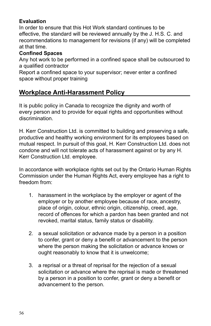### **Evaluation**

In order to ensure that this Hot Work standard continues to be effective, the standard will be reviewed annually by the J. H.S. C. and recommendations to management for revisions (if any) will be completed at that time.

#### **Confined Spaces**

Any hot work to be performed in a confined space shall be outsourced to a qualified contractor

Report a confined space to your supervisor; never enter a confined space without proper training

# **Workplace Anti-Harassment Policy**

It is public policy in Canada to recognize the dignity and worth of every person and to provide for equal rights and opportunities without discrimination.

H. Kerr Construction Ltd. is committed to building and preserving a safe, productive and healthy working environment for its employees based on mutual respect. In pursuit of this goal, H. Kerr Construction Ltd. does not condone and will not tolerate acts of harassment against or by any H. Kerr Construction Ltd. employee.

In accordance with workplace rights set out by the Ontario Human Rights Commission under the Human Rights Act, every employee has a right to freedom from:

- 1. harassment in the workplace by the employer or agent of the employer or by another employee because of race, ancestry, place of origin, colour, ethnic origin, citizenship, creed, age, record of offences for which a pardon has been granted and not revoked, marital status, family status or disability.
- 2. a sexual solicitation or advance made by a person in a position to confer, grant or deny a benefit or advancement to the person where the person making the solicitation or advance knows or ought reasonably to know that it is unwelcome;
- 3. a reprisal or a threat of reprisal for the rejection of a sexual solicitation or advance where the reprisal is made or threatened by a person in a position to confer, grant or deny a benefit or advancement to the person.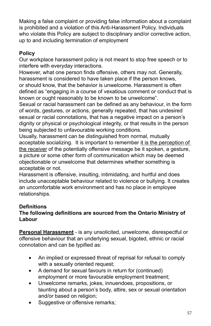Making a false complaint or providing false information about a complaint is prohibited and a violation of this Anti-Harassment Policy. Individuals who violate this Policy are subject to disciplinary and/or corrective action, up to and including termination of employment

### **Policy**

Our workplace harassment policy is not meant to stop free speech or to interfere with everyday interactions.

However, what one person finds offensive, others may not. Generally, harassment is considered to have taken place if the person knows, or should know, that the behavior is unwelcome. Harassment is often defined as "engaging in a course of vexatious comment or conduct that is known or ought reasonably to be known to be unwelcome".

Sexual or racial harassment can be defined as any behaviour, in the form of words, gestures, or actions, generally repeated, that has undesired sexual or racial connotations, that has a negative impact on a person's dignity or physical or psychological integrity, or that results in the person being subjected to unfavourable working conditions.

Usually, harassment can be distinguished from normal, mutually acceptable socializing. It is important to remember it is the perception of the receiver of the potentially offensive message be it spoken, a gesture, a picture or some other form of communication which may be deemed objectionable or unwelcome that determines whether something is acceptable or not.

Harassment is offensive, insulting, intimidating, and hurtful and does include unacceptable behaviour related to violence or bullying. It creates an uncomfortable work environment and has no place in employee relationships.

### **Definitions**

#### **The following definitions are sourced from the Ontario Ministry of Labour**

**Personal Harassment** - is any unsolicited, unwelcome, disrespectful or offensive behaviour that an underlying sexual, bigoted, ethnic or racial connotation and can be typified as:

- An implied or expressed threat of reprisal for refusal to comply with a sexually oriented request;
- A demand for sexual favours in return for (continued) employment or more favourable employment treatment;
- Unwelcome remarks, jokes, innuendoes, propositions, or taunting about a person's body, attire, sex or sexual orientation and/or based on religion;
- Suggestive or offensive remarks;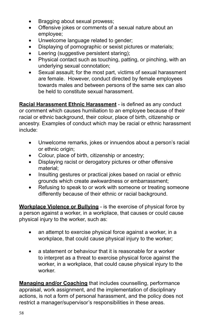- Bragging about sexual prowess;
- Offensive jokes or comments of a sexual nature about an employee;
- Unwelcome language related to gender;
- Displaying of pornographic or sexist pictures or materials;
- Leering (suggestive persistent staring);
- Physical contact such as touching, patting, or pinching, with an underlying sexual connotation;
- Sexual assault; for the most part, victims of sexual harassment are female. However, conduct directed by female employees towards males and between persons of the same sex can also be held to constitute sexual harassment.

**Racial Harassment Ethnic Harassment** - is defined as any conduct or comment which causes humiliation to an employee because of their racial or ethnic background, their colour, place of birth, citizenship or ancestry. Examples of conduct which may be racial or ethnic harassment include:

- Unwelcome remarks, jokes or innuendos about a person's racial or ethnic origin;
- Colour, place of birth, citizenship or ancestry;
- Displaying racist or derogatory pictures or other offensive material;
- Insulting gestures or practical jokes based on racial or ethnic grounds which create awkwardness or embarrassment;
- Refusing to speak to or work with someone or treating someone differently because of their ethnic or racial background.

**Workplace Violence or Bullying** - is the exercise of physical force by a person against a worker, in a workplace, that causes or could cause physical injury to the worker, such as:

- an attempt to exercise physical force against a worker, in a workplace, that could cause physical injury to the worker;
- a statement or behaviour that it is reasonable for a worker to interpret as a threat to exercise physical force against the worker, in a workplace, that could cause physical injury to the worker.

**Managing and/or Coaching** that includes counselling, performance appraisal, work assignment, and the implementation of disciplinary actions, is not a form of personal harassment, and the policy does not restrict a manager/supervisor's responsibilities in these areas.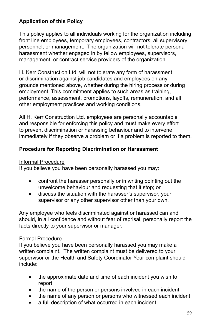### **Application of this Policy**

This policy applies to all individuals working for the organization including front line employees, temporary employees, contractors, all supervisory personnel, or management. The organization will not tolerate personal harassment whether engaged in by fellow employees, supervisors, management, or contract service providers of the organization.

H. Kerr Construction Ltd. will not tolerate any form of harassment or discrimination against job candidates and employees on any grounds mentioned above, whether during the hiring process or during employment. This commitment applies to such areas as training, performance, assessment, promotions, layoffs, remuneration, and all other employment practices and working conditions.

All H. Kerr Construction Ltd. employees are personally accountable and responsible for enforcing this policy and must make every effort to prevent discrimination or harassing behaviour and to intervene immediately if they observe a problem or if a problem is reported to them.

#### **Procedure for Reporting Discrimination or Harassment**

#### Informal Procedure

If you believe you have been personally harassed you may:

- confront the harasser personally or in writing pointing out the unwelcome behaviour and requesting that it stop; or
- discuss the situation with the harasser's supervisor, your supervisor or any other supervisor other than your own.

Any employee who feels discriminated against or harassed can and should, in all confidence and without fear of reprisal, personally report the facts directly to your supervisor or manager.

#### Formal Procedure

If you believe you have been personally harassed you may make a written complaint. The written complaint must be delivered to your supervisor or the Health and Safety Coordinator Your complaint should include:

- the approximate date and time of each incident you wish to report
- the name of the person or persons involved in each incident
- the name of any person or persons who witnessed each incident
- a full description of what occurred in each incident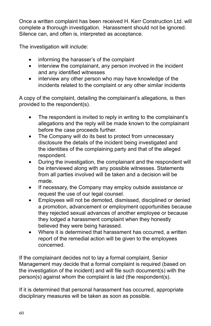Once a written complaint has been received H. Kerr Construction Ltd. will complete a thorough investigation. Harassment should not be ignored. Silence can, and often is, interpreted as acceptance.

The investigation will include:

- informing the harasser's of the complaint
- interview the complainant, any person involved in the incident and any identified witnesses
- interview any other person who may have knowledge of the incidents related to the complaint or any other similar incidents

A copy of the complaint, detailing the complainant's allegations, is then provided to the respondent(s).

- The respondent is invited to reply in writing to the complainant's allegations and the reply will be made known to the complainant before the case proceeds further.
- The Company will do its best to protect from unnecessary disclosure the details of the incident being investigated and the identities of the complaining party and that of the alleged respondent.
- During the investigation, the complainant and the respondent will be interviewed along with any possible witnesses. Statements from all parties involved will be taken and a decision will be made.
- If necessary, the Company may employ outside assistance or request the use of our legal counsel.
- Employees will not be demoted, dismissed, disciplined or denied a promotion, advancement or employment opportunities because they rejected sexual advances of another employee or because they lodged a harassment complaint when they honestly believed they were being harassed.
- Where it is determined that harassment has occurred, a written report of the remedial action will be given to the employees concerned.

If the complainant decides not to lay a formal complaint, Senior Management may decide that a formal complaint is required (based on the investigation of the incident) and will file such document(s) with the person(s) against whom the complaint is laid (the respondent(s).

If it is determined that personal harassment has occurred, appropriate disciplinary measures will be taken as soon as possible.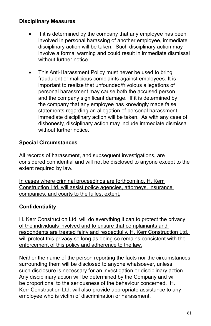### **Disciplinary Measures**

- If it is determined by the company that any employee has been involved in personal harassing of another employee, immediate disciplinary action will be taken. Such disciplinary action may involve a formal warning and could result in immediate dismissal without further notice.
- This Anti-Harassment Policy must never be used to bring fraudulent or malicious complaints against employees. It is important to realize that unfounded/frivolous allegations of personal harassment may cause both the accused person and the company significant damage. If it is determined by the company that any employee has knowingly made false statements regarding an allegation of personal harassment, immediate disciplinary action will be taken. As with any case of dishonesty, disciplinary action may include immediate dismissal without further notice.

#### **Special Circumstances**

All records of harassment, and subsequent investigations, are considered confidential and will not be disclosed to anyone except to the extent required by law.

In cases where criminal proceedings are forthcoming, H. Kerr Construction Ltd. will assist police agencies, attorneys, insurance companies, and courts to the fullest extent.

#### **Confidentiality**

H. Kerr Construction Ltd. will do everything it can to protect the privacy of the individuals involved and to ensure that complainants and respondents are treated fairly and respectfully. H. Kerr Construction Ltd. will protect this privacy so long as doing so remains consistent with the enforcement of this policy and adherence to the law.

Neither the name of the person reporting the facts nor the circumstances surrounding them will be disclosed to anyone whatsoever, unless such disclosure is necessary for an investigation or disciplinary action. Any disciplinary action will be determined by the Company and will be proportional to the seriousness of the behaviour concerned. H. Kerr Construction Ltd. will also provide appropriate assistance to any employee who is victim of discrimination or harassment.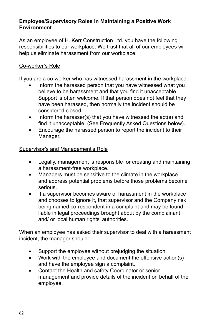#### **Employee/Supervisory Roles in Maintaining a Positive Work Environment**

As an employee of H. Kerr Construction Ltd. you have the following responsibilities to our workplace. We trust that all of our employees will help us eliminate harassment from our workplace.

#### Co-worker's Role

If you are a co-worker who has witnessed harassment in the workplace:

- Inform the harassed person that you have witnessed what you believe to be harassment and that you find it unacceptable. Support is often welcome. If that person does not feel that they have been harassed, then normally the incident should be considered closed.
- Inform the harasser(s) that you have witnessed the  $act(s)$  and find it unacceptable. (See Frequently Asked Questions below).
- Encourage the harassed person to report the incident to their Manager.

#### Supervisor's and Management's Role

- Legally, management is responsible for creating and maintaining a harassment-free workplace.
- Managers must be sensitive to the climate in the workplace and address potential problems before those problems become serious.
- • If a supervisor becomes aware of harassment in the workplace and chooses to ignore it, that supervisor and the Company risk being named co-respondent in a complaint and may be found liable in legal proceedings brought about by the complainant and/ or local human rights' authorities.

When an employee has asked their supervisor to deal with a harassment incident, the manager should:

- Support the employee without prejudging the situation.
- Work with the employee and document the offensive action(s) and have the employee sign a complaint.
- Contact the Health and safety Coordinator or senior management and provide details of the incident on behalf of the employee.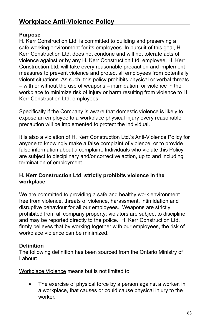#### **Purpose**

H. Kerr Construction Ltd. is committed to building and preserving a safe working environment for its employees. In pursuit of this goal, H. Kerr Construction Ltd. does not condone and will not tolerate acts of violence against or by any H. Kerr Construction Ltd. employee. H. Kerr Construction Ltd. will take every reasonable precaution and implement measures to prevent violence and protect all employees from potentially violent situations. As such, this policy prohibits physical or verbal threats – with or without the use of weapons – intimidation, or violence in the workplace to minimize risk of injury or harm resulting from violence to H. Kerr Construction Ltd. employees.

Specifically if the Company is aware that domestic violence is likely to expose an employee to a workplace physical injury every reasonable precaution will be implemented to protect the individual.

It is also a violation of H. Kerr Construction Ltd.'s Anti-Violence Policy for anyone to knowingly make a false complaint of violence, or to provide false information about a complaint. Individuals who violate this Policy are subject to disciplinary and/or corrective action, up to and including termination of employment.

#### **H. Kerr Construction Ltd**. **strictly prohibits violence in the workplace**.

We are committed to providing a safe and healthy work environment free from violence, threats of violence, harassment, intimidation and disruptive behaviour for all our employees. Weapons are strictly prohibited from all company property; violators are subject to discipline and may be reported directly to the police. H. Kerr Construction Ltd. firmly believes that by working together with our employees, the risk of workplace violence can be minimized.

#### **Definition**

The following definition has been sourced from the Ontario Ministry of Labour:

Workplace Violence means but is not limited to:

The exercise of physical force by a person against a worker, in a workplace, that causes or could cause physical injury to the worker.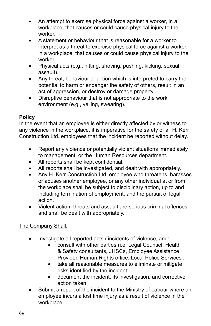- An attempt to exercise physical force against a worker, in a workplace, that causes or could cause physical injury to the worker.
- A statement or behaviour that is reasonable for a worker to interpret as a threat to exercise physical force against a worker, in a workplace, that causes or could cause physical injury to the worker.
- Physical acts (e.g., hitting, shoving, pushing, kicking, sexual assault).
- Any threat, behaviour or action which is interpreted to carry the potential to harm or endanger the safety of others, result in an act of aggression, or destroy or damage property.
- Disruptive behaviour that is not appropriate to the work environment (e.g., yelling, swearing).

#### **Policy**

In the event that an employee is either directly affected by or witness to any violence in the workplace, it is imperative for the safety of all H. Kerr Construction Ltd. employees that the incident be reported without delay.

- Report any violence or potentially violent situations immediately to management, or the Human Resources department.
- All reports shall be kept confidential.
- All reports shall be investigated, and dealt with appropriately.
- Any H. Kerr Construction Ltd. employee who threatens, harasses or abuses another employee, or any other individual at or from the workplace shall be subject to disciplinary action, up to and including termination of employment, and the pursuit of legal action.
- Violent action, threats and assault are serious criminal offences, and shall be dealt with appropriately.

### The Company Shall:

- Investigate all reported acts / incidents of violence, and:
	- consult with other parties (i.e. Legal Counsel, Health & Safety consultants, JHSCs, Employee Assistance Provider, Human Rights office, Local Police Services ;
	- take all reasonable measures to eliminate or mitigate risks identified by the incident;
	- • document the incident, its investigation, and corrective action taken.
- Submit a report of the incident to the Ministry of Labour where an employee incurs a lost time injury as a result of violence in the workplace.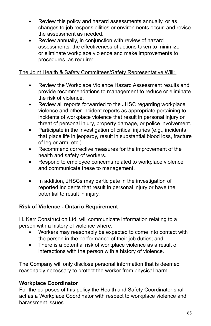- Review this policy and hazard assessments annually, or as changes to job responsibilities or environments occur, and revise the assessment as needed.
- Review annually, in conjunction with review of hazard assessments, the effectiveness of actions taken to minimize or eliminate workplace violence and make improvements to procedures, as required.

#### The Joint Health & Safety Committees/Safety Representative Will:

- Review the Workplace Violence Hazard Assessment results and provide recommendations to management to reduce or eliminate the risk of violence.
- Review all reports forwarded to the JHSC regarding workplace violence and other incident reports as appropriate pertaining to incidents of workplace violence that result in personal injury or threat of personal injury, property damage, or police involvement.
- Participate in the investigation of critical injuries (e.g., incidents that place life in jeopardy, result in substantial blood loss, fracture of leg or arm, etc.).
- Recommend corrective measures for the improvement of the health and safety of workers.
- Respond to employee concerns related to workplace violence and communicate these to management.
- In addition, JHSCs may participate in the investigation of reported incidents that result in personal injury or have the potential to result in injury.

#### **Risk of Violence - Ontario Requirement**

H. Kerr Construction Ltd. will communicate information relating to a person with a history of violence where:

- Workers may reasonably be expected to come into contact with the person in the performance of their job duties; and
- There is a potential risk of workplace violence as a result of interactions with the person with a history of violence.

The Company will only disclose personal information that is deemed reasonably necessary to protect the worker from physical harm.

### **Workplace Coordinator**

For the purposes of this policy the Health and Safety Coordinator shall act as a Workplace Coordinator with respect to workplace violence and harassment issues.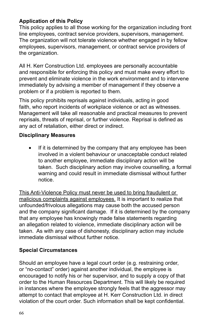### **Application of this Policy**

This policy applies to all those working for the organization including front line employees, contract service providers, supervisors, management. The organization will not tolerate violence whether engaged in by fellow employees, supervisors, management, or contract service providers of the organization.

All H. Kerr Construction Ltd. employees are personally accountable and responsible for enforcing this policy and must make every effort to prevent and eliminate violence in the work environment and to intervene immediately by advising a member of management if they observe a problem or if a problem is reported to them.

This policy prohibits reprisals against individuals, acting in good faith, who report incidents of workplace violence or act as witnesses. Management will take all reasonable and practical measures to prevent reprisals, threats of reprisal, or further violence. Reprisal is defined as any act of retaliation, either direct or indirect.

#### **Disciplinary Measures**

If it is determined by the company that any employee has been involved in a violent behaviour or unacceptable conduct related to another employee, immediate disciplinary action will be taken. Such disciplinary action may involve counselling, a formal warning and could result in immediate dismissal without further notice.

This Anti-Violence Policy must never be used to bring fraudulent or malicious complaints against employees. It is important to realize that unfounded/frivolous allegations may cause both the accused person and the company significant damage. If it is determined by the company that any employee has knowingly made false statements regarding an allegation related to violence, immediate disciplinary action will be taken. As with any case of dishonesty, disciplinary action may include immediate dismissal without further notice.

#### **Special Circumstances**

Should an employee have a legal court order (e.g. restraining order, or "no-contact" order) against another individual, the employee is encouraged to notify his or her supervisor, and to supply a copy of that order to the Human Resources Department. This will likely be required in instances where the employee strongly feels that the aggressor may attempt to contact that employee at H. Kerr Construction Ltd. in direct violation of the court order. Such information shall be kept confidential.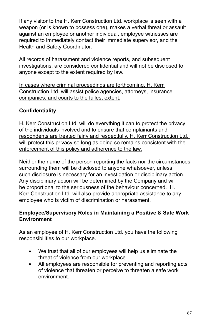If any visitor to the H. Kerr Construction Ltd. workplace is seen with a weapon (or is known to possess one), makes a verbal threat or assault against an employee or another individual, employee witnesses are required to immediately contact their immediate supervisor, and the Health and Safety Coordinator.

All records of harassment and violence reports, and subsequent investigations, are considered confidential and will not be disclosed to anyone except to the extent required by law.

In cases where criminal proceedings are forthcoming, H. Kerr Construction Ltd. will assist police agencies, attorneys, insurance companies, and courts to the fullest extent.

### **Confidentiality**

H. Kerr Construction Ltd. will do everything it can to protect the privacy of the individuals involved and to ensure that complainants and respondents are treated fairly and respectfully. H. Kerr Construction Ltd. will protect this privacy so long as doing so remains consistent with the enforcement of this policy and adherence to the law.

Neither the name of the person reporting the facts nor the circumstances surrounding them will be disclosed to anyone whatsoever, unless such disclosure is necessary for an investigation or disciplinary action. Any disciplinary action will be determined by the Company and will be proportional to the seriousness of the behaviour concerned. H. Kerr Construction Ltd. will also provide appropriate assistance to any employee who is victim of discrimination or harassment.

#### **Employee/Supervisory Roles in Maintaining a Positive & Safe Work Environment**

As an employee of H. Kerr Construction Ltd. you have the following responsibilities to our workplace.

- We trust that all of our employees will help us eliminate the threat of violence from our workplace.
- All employees are responsible for preventing and reporting acts of violence that threaten or perceive to threaten a safe work environment.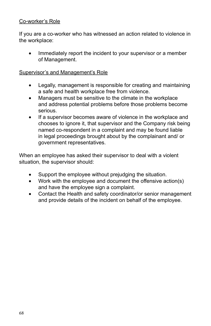#### Co-worker's Role

If you are a co-worker who has witnessed an action related to violence in the workplace:

• Immediately report the incident to your supervisor or a member of Management.

#### Supervisor's and Management's Role

- Legally, management is responsible for creating and maintaining a safe and health workplace free from violence.
- Managers must be sensitive to the climate in the workplace and address potential problems before those problems become serious.
- If a supervisor becomes aware of violence in the workplace and chooses to ignore it, that supervisor and the Company risk being named co-respondent in a complaint and may be found liable in legal proceedings brought about by the complainant and/ or government representatives.

When an employee has asked their supervisor to deal with a violent situation, the supervisor should:

- Support the employee without prejudging the situation.
- Work with the employee and document the offensive action(s) and have the employee sign a complaint.
- Contact the Health and safety coordinator/or senior management and provide details of the incident on behalf of the employee.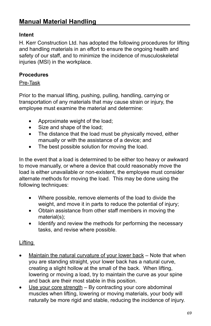#### **Intent**

H. Kerr Construction Ltd. has adopted the following procedures for lifting and handling materials in an effort to ensure the ongoing health and safety of our staff, and to minimize the incidence of musculoskeletal injuries (MSI) in the workplace.

#### **Procedures**

#### Pre-Task

Prior to the manual lifting, pushing, pulling, handling, carrying or transportation of any materials that may cause strain or injury, the employee must examine the material and determine:

- Approximate weight of the load;
- Size and shape of the load;
- The distance that the load must be physically moved, either manually or with the assistance of a device; and
- The best possible solution for moving the load.

In the event that a load is determined to be either too heavy or awkward to move manually, or where a device that could reasonably move the load is either unavailable or non-existent, the employee must consider alternate methods for moving the load. This may be done using the following techniques:

- Where possible, remove elements of the load to divide the weight, and move it in parts to reduce the potential of injury;
- Obtain assistance from other staff members in moving the material(s);
- Identify and review the methods for performing the necessary tasks, and revise where possible.

#### **Lifting**

- Maintain the natural curvature of your lower back  $-$  Note that when you are standing straight, your lower back has a natural curve, creating a slight hollow at the small of the back. When lifting, lowering or moving a load, try to maintain the curve as your spine and back are their most stable in this position.
- Use your core strength  $-$  By contracting your core abdominal muscles when lifting, lowering or moving materials, your body will naturally be more rigid and stable, reducing the incidence of injury.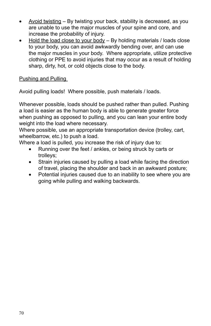- Avoid twisting  $-$  By twisting your back, stability is decreased, as you are unable to use the major muscles of your spine and core, and increase the probability of injury.
- Hold the load close to your body  $-$  By holding materials / loads close to your body, you can avoid awkwardly bending over, and can use the major muscles in your body. Where appropriate, utilize protective clothing or PPE to avoid injuries that may occur as a result of holding sharp, dirty, hot, or cold objects close to the body.

Pushing and Pulling

Avoid pulling loads! Where possible, push materials / loads.

Whenever possible, loads should be pushed rather than pulled. Pushing a load is easier as the human body is able to generate greater force when pushing as opposed to pulling, and you can lean your entire body weight into the load where necessary.

Where possible, use an appropriate transportation device (trolley, cart, wheelbarrow, etc.) to push a load.

Where a load is pulled, you increase the risk of injury due to:

- Running over the feet / ankles, or being struck by carts or trolleys;
- Strain injuries caused by pulling a load while facing the direction of travel, placing the shoulder and back in an awkward posture;
- Potential injuries caused due to an inability to see where you are going while pulling and walking backwards.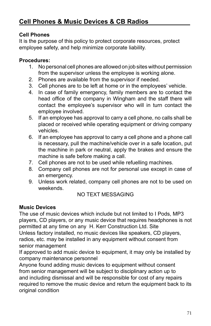### **Cell Phones**

It is the purpose of this policy to protect corporate resources, protect employee safety, and help minimize corporate liability.

### **Procedures:**

- 1. No personal cell phones are allowed on job sites without permission from the supervisor unless the employee is working alone.
- 2. Phones are available from the supervisor if needed.
- 3. Cell phones are to be left at home or in the employees' vehicle.
- 4. In case of family emergency, family members are to contact the head office of the company in Wingham and the staff there will contact the employee's supervisor who will in turn contact the employee involved.
- 5. If an employee has approval to carry a cell phone, no calls shall be placed or received while operating equipment or driving company vehicles.
- 6. If an employee has approval to carry a cell phone and a phone call is necessary, pull the machine/vehicle over in a safe location, put the machine in park or neutral, apply the brakes and ensure the machine is safe before making a call.
- 7. Cell phones are not to be used while refuelling machines.
- 8. Company cell phones are not for personal use except in case of an emergency.
- 9. Unless work related, company cell phones are not to be used on weekends.

### NO TEXT MESSAGING

### **Music Devices**

The use of music devices which include but not limited to I Pods, MP3 players, CD players, or any music device that requires headphones is not permitted at any time on any H. Kerr Construction Ltd. Site Unless factory installed, no music devices like speakers, CD players, radios, etc. may be installed in any equipment without consent from senior management

If approved to add music device to equipment, it may only be installed by company maintenance personnel

Anyone found adding music devices to equipment without consent from senior management will be subject to disciplinary action up to and including dismissal and will be responsible for cost of any repairs required to remove the music device and return the equipment back to its original condition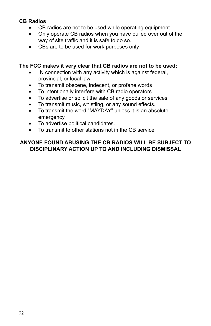## **CB Radios**

- CB radios are not to be used while operating equipment.
- Only operate CB radios when you have pulled over out of the way of site traffic and it is safe to do so.
- CBs are to be used for work purposes only

### **The FCC makes it very clear that CB radios are not to be used:**

- IN connection with any activity which is against federal, provincial, or local law.
- To transmit obscene, indecent, or profane words
- To intentionally interfere with CB radio operators
- To advertise or solicit the sale of any goods or services
- To transmit music, whistling, or any sound effects.<br>• To transmit the word "MAYDAY" unless it is an abs
- To transmit the word "MAYDAY" unless it is an absolute emergency
- • To advertise political candidates.
- • To transmit to other stations not in the CB service

## **ANYONE FOUND ABUSING THE CB RADIOS WILL BE SUBJECT TO DISCIPLINARY ACTION UP TO AND INCLUDING DISMISSAL**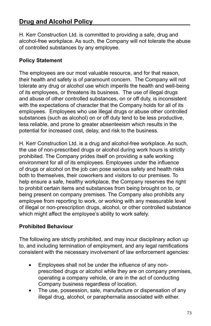# **Drug and Alcohol Policy**

H. Kerr Construction Ltd. is committed to providing a safe, drug and alcohol-free workplace. As such, the Company will not tolerate the abuse of controlled substances by any employee.

# **Policy Statement**

The employees are our most valuable resource, and for that reason, their health and safety is of paramount concern. The Company will not tolerate any drug or alcohol use which imperils the health and well-being of its employees, or threatens its business. The use of illegal drugs and abuse of other controlled substances, on or off duty, is inconsistent with the expectations of character that the Company holds for all of its employees. Employees who use illegal drugs or abuse other controlled substances (such as alcohol) on or off duty tend to be less productive, less reliable, and prone to greater absenteeism which results in the potential for increased cost, delay, and risk to the business.

H. Kerr Construction Ltd. is a drug and alcohol-free workplace. As such, the use of non-prescribed drugs or alcohol during work hours is strictly prohibited. The Company prides itself on providing a safe working environment for all of its employees. Employees under the influence of drugs or alcohol on the job can pose serious safety and health risks both to themselves, their coworkers and visitors to our premises. To help ensure a safe, healthy workplace, the Company reserves the right to prohibit certain items and substances from being brought on to, or being present on company premises. The Company also prohibits any employee from reporting to work, or working with any measurable level of illegal or non-prescription drugs, alcohol, or other controlled substance which might affect the employee's ability to work safely.

# **Prohibited Behaviour**

The following are strictly prohibited, and may incur disciplinary action up to, and including termination of employment, and any legal ramifications consistent with the necessary involvement of law enforcement agencies:

- Employees shall not be under the influence of any nonprescribed drugs or alcohol while they are on company premises, operating a company vehicle, or are in the act of conducting Company business regardless of location.
- The use, possession, sale, manufacture or dispensation of any illegal drug, alcohol, or paraphernalia associated with either.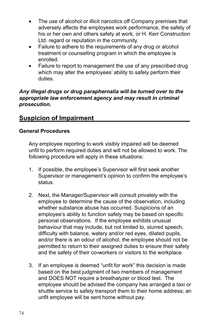- The use of alcohol or illicit narcotics off Company premises that adversely affects the employees work performance, the safety of his or her own and others safety at work, or H. Kerr Construction Ltd. regard or reputation in the community.
- Failure to adhere to the requirements of any drug or alcohol treatment or counselling program in which the employee is enrolled.
- Failure to report to management the use of any prescribed drug which may alter the employees' ability to safely perform their duties.

### *Any illegal drugs or drug paraphernalia will be turned over to the appropriate law enforcement agency and may result in criminal prosecution.*

# **Suspicion of Impairment**

### **General Procedures**

Any employee reporting to work visibly impaired will be deemed unfit to perform required duties and will not be allowed to work. The following procedure will apply in these situations:

- 1. If possible, the employee's Supervisor will first seek another Supervisor or management's opinion to confirm the employee's status.
- 2. Next, the Manager/Supervisor will consult privately with the employee to determine the cause of the observation, including whether substance abuse has occurred. Suspicions of an employee's ability to function safely may be based on specific personal observations. If the employee exhibits unusual behaviour that may include, but not limited to, slurred speech, difficulty with balance, watery and/or red eyes, dilated pupils, and/or there is an odour of alcohol, the employee should not be permitted to return to their assigned duties to ensure their safety and the safety of their co*-*workers or visitors to the workplace.
- 3. If an employee is deemed "unfit for work" this decision is made based on the best judgment of two members of management and DOES NOT require a breathalyzer or blood test. The employee should be advised the company has arranged a taxi or shuttle service to safely transport them to their home address; an unfit employee will be sent home without pay.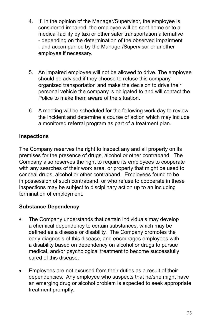- 4. If, in the opinion of the Manager/Supervisor, the employee is considered impaired, the employee will be sent home or to a medical facility by taxi or other safer transportation alternative - depending on the determination of the observed impairment - and accompanied by the Manager/Supervisor or another employee if necessary.
- 5. An impaired employee will not be allowed to drive. The employee should be advised if they choose to refuse this company organized transportation and make the decision to drive their personal vehicle the company is obligated to and will contact the Police to make them aware of the situation.
- 6. A meeting will be scheduled for the following work day to review the incident and determine a course of action which may include a monitored referral program as part of a treatment plan.

# **Inspections**

The Company reserves the right to inspect any and all property on its premises for the presence of drugs, alcohol or other contraband. The Company also reserves the right to require its employees to cooperate with any searches of their work area, or property that might be used to conceal drugs, alcohol or other contraband. Employees found to be in possession of such contraband, or who refuse to cooperate in these inspections may be subject to disciplinary action up to an including termination of employment.

## **Substance Dependency**

- The Company understands that certain individuals may develop a chemical dependency to certain substances, which may be defined as a disease or disability. The Company promotes the early diagnosis of this disease, and encourages employees with a disability based on dependency on alcohol or drugs to pursue medical, and/or psychological treatment to become successfully cured of this disease.
- Employees are not excused from their duties as a result of their dependencies. Any employee who suspects that he/she might have an emerging drug or alcohol problem is expected to seek appropriate treatment promptly.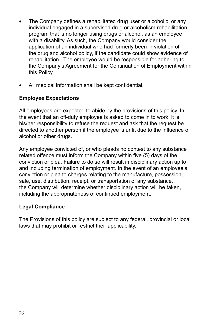- The Company defines a rehabilitated drug user or alcoholic, or any individual engaged in a supervised drug or alcoholism rehabilitation program that is no longer using drugs or alcohol, as an employee with a disability. As such, the Company would consider the application of an individual who had formerly been in violation of the drug and alcohol policy, if the candidate could show evidence of rehabilitation. The employee would be responsible for adhering to the Company's Agreement for the Continuation of Employment within this Policy.
- All medical information shall be kept confidential.

### **Employee Expectations**

All employees are expected to abide by the provisions of this policy. In the event that an off-duty employee is asked to come in to work, it is his/her responsibility to refuse the request and ask that the request be directed to another person if the employee is unfit due to the influence of alcohol or other drugs.

Any employee convicted of, or who pleads no contest to any substance related offence must inform the Company within five (5) days of the conviction or plea. Failure to do so will result in disciplinary action up to and including termination of employment. In the event of an employee's conviction or plea to charges relating to the manufacture, possession, sale, use, distribution, receipt, or transportation of any substance, the Company will determine whether disciplinary action will be taken, including the appropriateness of continued employment.

### **Legal Compliance**

The Provisions of this policy are subject to any federal, provincial or local laws that may prohibit or restrict their applicability.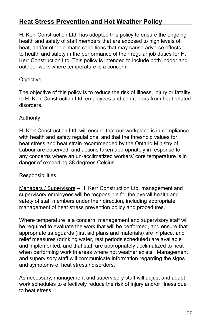# **Heat Stress Prevention and Hot Weather Policy**

H. Kerr Construction Ltd. has adopted this policy to ensure the ongoing health and safety of staff members that are exposed to high levels of heat, and/or other climatic conditions that may cause adverse effects to health and safety in the performance of their regular job duties for H. Kerr Construction Ltd. This policy is intended to include both indoor and outdoor work where temperature is a concern.

### **Objective**

The objective of this policy is to reduce the risk of illness, injury or fatality to H. Kerr Construction Ltd. employees and contractors from heat related disorders.

## Authority

H. Kerr Construction Ltd. will ensure that our workplace is in compliance with health and safety regulations, and that the threshold values for heat stress and heat strain recommended by the Ontario Ministry of Labour are observed, and actions taken appropriately in response to any concerns where an un-acclimatized workers' core temperature is in danger of exceeding 38 degrees Celsius.

### **Responsibilities**

Managers / Supervisors - H. Kerr Construction Ltd. management and supervisory employees will be responsible for the overall health and safety of staff members under their direction, including appropriate management of heat stress prevention policy and procedures.

Where temperature is a concern, management and supervisory staff will be required to evaluate the work that will be performed, and ensure that appropriate safeguards (first aid plans and materials) are in place, and relief measures (drinking water, rest periods scheduled) are available and implemented, and that staff are appropriately acclimatized to heat when performing work in areas where hot weather exists. Management and supervisory staff will communicate information regarding the signs and symptoms of heat stress / disorders.

As necessary, management and supervisory staff will adjust and adapt work schedules to effectively reduce the risk of injury and/or illness due to heat stress.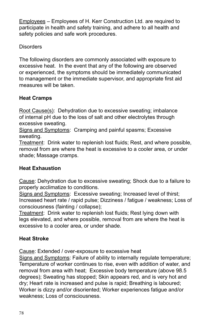Employees – Employees of H. Kerr Construction Ltd. are required to participate in health and safety training, and adhere to all health and safety policies and safe work procedures.

**Disorders** 

The following disorders are commonly associated with exposure to excessive heat. In the event that any of the following are observed or experienced, the symptoms should be immediately communicated to management or the immediate supervisor, and appropriate first aid measures will be taken.

# **Heat Cramps**

Root Cause(s): Dehydration due to excessive sweating; imbalance of internal pH due to the loss of salt and other electrolytes through excessive sweating.

Signs and Symptoms: Cramping and painful spasms; Excessive sweating.

Treatment: Drink water to replenish lost fluids; Rest, and where possible, removal from are where the heat is excessive to a cooler area, or under shade; Massage cramps.

# **Heat Exhaustion**

Cause: Dehydration due to excessive sweating; Shock due to a failure to properly acclimatize to conditions.

Signs and Symptoms: Excessive sweating; Increased level of thirst; Increased heart rate / rapid pulse; Dizziness / fatigue / weakness; Loss of consciousness (fainting / collapse);

Treatment: Drink water to replenish lost fluids; Rest lying down with legs elevated, and where possible, removal from are where the heat is excessive to a cooler area, or under shade.

# **Heat Stroke**

Cause: Extended / over-exposure to excessive heat

Signs and Symptoms: Failure of ability to internally regulate temperature; Temperature of worker continues to rise, even with addition of water, and removal from area with heat; Excessive body temperature (above 98.5 degrees); Sweating has stopped; Skin appears red, and is very hot and dry; Heart rate is increased and pulse is rapid; Breathing is laboured; Worker is dizzy and/or disoriented; Worker experiences fatigue and/or weakness; Loss of consciousness.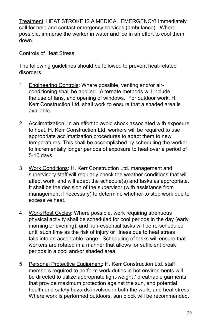Treatment: HEAT STROKE IS A MEDICAL EMERGENCY! Immediately call for help and contact emergency services (ambulance). Where possible, immerse the worker in water and ice in an effort to cool them down.

Controls of Heat Stress

The following guidelines should be followed to prevent heat-related disorders

- 1. Engineering Controls: Where possible, venting and/or airconditioning shall be applied. Alternate methods will include the use of fans, and opening of windows. For outdoor work, H. Kerr Construction Ltd. shall work to ensure that a shaded area is available.
- 2. Acclimatization: In an effort to avoid shock associated with exposure to heat, H. Kerr Construction Ltd. workers will be required to use appropriate acclimatization procedures to adapt them to new temperatures. This shall be accomplished by scheduling the worker to incrementally longer periods of exposure to heat over a period of 5-10 days.
- 3. Work Conditions: H. Kerr Construction Ltd. management and supervisory staff will regularly check the weather conditions that will affect work, and will adapt the schedule(s) and tasks as appropriate. It shall be the decision of the supervisor (with assistance from management if necessary) to determine whether to stop work due to excessive heat.
- 4. Work/Rest Cycles: Where possible, work requiring strenuous physical activity shall be scheduled for cool periods in the day (early morning or evening), and non-essential tasks will be re-scheduled until such time as the risk of injury or illness due to heat stress falls into an acceptable range. Scheduling of tasks will ensure that workers are rotated in a manner that allows for sufficient break periods in a cool and/or shaded area.
- 5. Personal Protective Equipment: H. Kerr Construction Ltd. staff members required to perform work duties in hot environments will be directed to utilize appropriate light-weight / breathable garments that provide maximum protection against the sun, and potential health and safety hazards involved in both the work, and heat stress. Where work is performed outdoors, sun block will be recommended.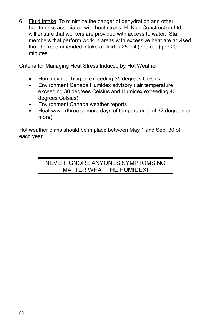6. Fluid Intake: To minimize the danger of dehydration and other health risks associated with heat stress, H. Kerr Construction Ltd. will ensure that workers are provided with access to water. Staff members that perform work in areas with excessive heat are advised that the recommended intake of fluid is 250ml (one cup) per 20 minutes.

Criteria for Managing Heat Stress Induced by Hot Weather

- Humidex reaching or exceeding 35 degrees Celsius
- Environment Canada Humidex advisory (air temperature exceeding 30 degrees Celsius and Humidex exceeding 40 degrees Celsius)
- **Environment Canada weather reports**
- Heat wave (three or more days of temperatures of 32 degrees or more)

Hot weather plans should be in place between May 1 and Sep. 30 of each year.

# NEVER IGNORE ANYONES SYMPTOMS NO MATTER WHAT THE HUMIDEX!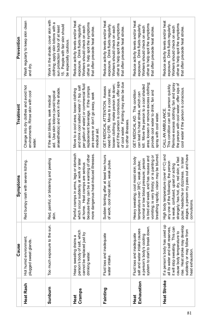|                    | Cause                                                                                                                                                                                                                      | Symptoms                                                                                                                                                                                                                                                                  | Treatment                                                                                                                                                                                                                   | Prevention                                                                                                                                                                       |
|--------------------|----------------------------------------------------------------------------------------------------------------------------------------------------------------------------------------------------------------------------|---------------------------------------------------------------------------------------------------------------------------------------------------------------------------------------------------------------------------------------------------------------------------|-----------------------------------------------------------------------------------------------------------------------------------------------------------------------------------------------------------------------------|----------------------------------------------------------------------------------------------------------------------------------------------------------------------------------|
| Heat Rash          | Hot humid environment;<br>plugged sweat glands                                                                                                                                                                             | Red bumpy rash with severe itching                                                                                                                                                                                                                                        | Change into dry clothes and avoid hot<br>environments. Rinse skin with coo<br>water                                                                                                                                         | Wash regularly to keep skin clean<br>and dry                                                                                                                                     |
| Sunburn            | (posure to the sun.<br>Too much ex                                                                                                                                                                                         | Red, painful, or blistering and peeling<br>skin                                                                                                                                                                                                                           | anaesthetics) and work in the shade.<br>aid. Use skin lotions (avoid topica<br>If the skin blisters, seek medical                                                                                                           | Work in the shade; cover skin with<br>ω<br>15. People with fair skin should<br>clothing; apply skin lotions with<br>sun protection factor of at least<br>be especially cautious. |
| Cramps<br>Heat     | person's body of salt, which<br>cannot be replaced just by<br>Heavy sweating drains a<br>drinking water                                                                                                                    | Painful cramps in arms, legs or stomach<br>more dangerous heat-induced illnesses<br>because they can be a warning of other<br>which occur suddenly at work or later<br>at home. Heat cramps are serious                                                                   | per gallon of water) or commercial fluid<br>and drink cool salted water (1 tsp. salt<br>eplacement beverage. If the cramps<br>Move to a cool area; loosen clothing<br>are severe or don't go away, seek<br>medical aid      | Reduce activity levels and/or heat<br>other to help spot the symptoms<br>exposure. Drink fluids regularly.<br>Workers should check on each<br>that often precede heat stroke     |
| Fainting           | Fluid loss and inadequate<br>water intake                                                                                                                                                                                  | Sudden fainting after at least two hours<br>of work; cool moist skin; weak pulse                                                                                                                                                                                          | of cool water. Fainting may also be due<br>and if the person is conscious, offer sip<br>loosen clothing; make person lie down;<br>GET MEDICAL ATTENTION. Assess<br>need for CPR. Move to a cool area;<br>to other illnesses | Reduce activity levels and/or heat<br>other to help spot the symptoms<br>exposure. Drink fluids regularly.<br>Workers should check on each<br>that often precede heat stroke     |
| Exhaustion<br>Heat | system to start to break down<br>salt and water intake causes<br>Fluid loss and inadequate<br>a person's body's cooling                                                                                                    | breathing rapidly; vision may be blurred<br>vomiting; is very thirsty; or is panting or<br>s tired and weak, and has nausea and<br>Heavy sweating; cool moist skin; body<br>normal or low blood pressure; person<br>emperature over 38°C; weak pulse;                     | area; loosen or remove excess clothing;<br>kill. Move the person to a cool shaded<br>GET MEDICAL AID. This condition<br>provide cool water to drink; fan and<br>can lead to heat stroke, which can<br>spray with cool water | Reduce activity levels and/or heat<br>other to help spot the symptoms<br>exposure. Drink fluids regularly.<br>Workers should check on each<br>that often precede heat stroke     |
| Heat Stroke        | If a person's body has used up<br>rise. Heat stroke may develop<br>it will stop sweating. This can<br>and salt reserves<br>may follow from<br>cause body temperature to<br>neat exhaustion<br>all its water<br>suddenly or | stages, a person my pass out and have<br>High body temperature (over 41°C) and<br>strangely; has hot, dry, red skin; a fast<br>pulse; headache or dizziness. In later<br>any one of the following; the person<br>is weak, confused, upset or acting<br><b>convulsions</b> | Remove excess clothing; fan and spray<br>the person with cool water; offer sips of<br>This condition can kill a person quickly.<br>cool water if the person is conscious.<br>CALL AN AMBULANCE                              | Reduce activity levels and/or heat<br>other to help spot the symptoms<br>exposure. Drink fluids regularly.<br>Workers should check on each<br>that often precede heat stroke.    |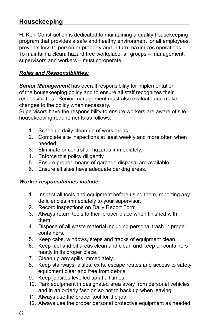# **Housekeeping**

H. Kerr Construction is dedicated to maintaining a quality housekeeping program that provides a safe and healthy environment for all employees, prevents loss to person or property and in turn maximizes operations. To maintain a clean, hazard free workplace, all groups – management, supervisors and workers – must co-operate.

# *Roles and Responsibilities:*

*Senior Management* has overall responsibility for implementation of the housekeeping policy and to ensure all staff recognizes their responsibilities. Senior management must also evaluate and make changes to the policy when necessary.

Supervisors have the responsibility to ensure workers are aware of site housekeeping requirements as follows:

- 1. Schedule daily clean up of work areas.
- 2. Complete site inspections at least weekly and more often when needed.
- 3. Eliminate or control all hazards immediately.
- 4. Enforce this policy diligently.
- 5. Ensure proper means of garbage disposal are available.
- 6. Ensure all sites have adequate parking areas.

### *Worker responsibilities include:*

- 1. Inspect all tools and equipment before using them, reporting any deficiencies immediately to your supervisor.
- 2. Record inspections on Daily Report Form
- 3. Always return tools to their proper place when finished with them.
- 4. Dispose of all waste material including personal trash in proper containers.
- 5. Keep cabs, windows, steps and tracks of equipment clean.
- 6. Keep fuel and oil areas clean and clean and keep oil containers neatly in its proper place.
- 7. Clean up any spills immediately.
- 8. Keep stairways, aisles, exits, escape routes and access to safety equipment clear and free from debris.
- 9. Keep jobsites levelled up at all times.
- 10. Park equipment in designated area away from personal vehicles and in an orderly fashion so not to back up when leaving.
- 11. Always use the proper tool for the job.
- 12. Always use the proper personal protective equipment as needed.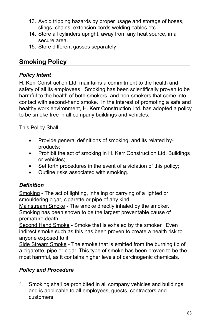- 13. Avoid tripping hazards by proper usage and storage of hoses, slings, chains, extension cords welding cables etc.
- 14. Store all cylinders upright, away from any heat source, in a secure area.
- 15. Store different gasses separately

# **Smoking Policy**

# *Policy Intent*

H. Kerr Construction Ltd. maintains a commitment to the health and safety of all its employees. Smoking has been scientifically proven to be harmful to the health of both smokers, and non-smokers that come into contact with second-hand smoke. In the interest of promoting a safe and healthy work environment, H. Kerr Construction Ltd. has adopted a policy to be smoke free in all company buildings and vehicles.

This Policy Shall:

- Provide general definitions of smoking, and its related byproducts;
- Prohibit the act of smoking in H. Kerr Construction Ltd. Buildings or vehicles;
- Set forth procedures in the event of a violation of this policy;
- Outline risks associated with smoking.

# *Definition*

Smoking - The act of lighting, inhaling or carrying of a lighted or smouldering cigar, cigarette or pipe of any kind.

Mainstream Smoke - The smoke directly inhaled by the smoker. Smoking has been shown to be the largest preventable cause of premature death.

Second Hand Smoke - Smoke that is exhaled by the smoker. Even indirect smoke such as this has been proven to create a health risk to anyone exposed to it.

Side Stream Smoke - The smoke that is emitted from the burning tip of a cigarette, pipe or cigar. This type of smoke has been proven to be the most harmful, as it contains higher levels of carcinogenic chemicals.

# *Policy and Procedure*

1. Smoking shall be prohibited in all company vehicles and buildings, and is applicable to all employees, guests, contractors and customers.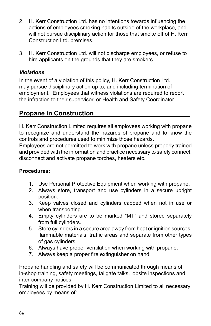- 2. H. Kerr Construction Ltd. has no intentions towards influencing the actions of employees smoking habits outside of the workplace, and will not pursue disciplinary action for those that smoke off of H. Kerr Construction Ltd. premises.
- 3. H. Kerr Construction Ltd. will not discharge employees, or refuse to hire applicants on the grounds that they are smokers.

## *Violations*

In the event of a violation of this policy, H. Kerr Construction Ltd. may pursue disciplinary action up to, and including termination of employment. Employees that witness violations are required to report the infraction to their supervisor, or Health and Safety Coordinator.

# **Propane in Construction**

H. Kerr Construction Limited requires all employees working with propane to recognize and understand the hazards of propane and to know the controls and procedures used to minimize those hazards.

Employees are not permitted to work with propane unless properly trained and provided with the information and practice necessary to safely connect, disconnect and activate propane torches, heaters etc.

## **Procedures:**

- 1. Use Personal Protective Equipment when working with propane.
- 2. Always store, transport and use cylinders in a secure upright position.
- 3. Keep valves closed and cylinders capped when not in use or when transporting.
- 4. Empty cylinders are to be marked "MT" and stored separately from full cylinders.
- 5. Store cylinders in a secure area away from heat or ignition sources, flammable materials, traffic areas and separate from other types of gas cylinders.
- 6. Always have proper ventilation when working with propane.
- 7. Always keep a proper fire extinguisher on hand.

Propane handling and safety will be communicated through means of in-shop training, safety meetings, tailgate talks, jobsite inspections and inter-company notices.

Training will be provided by H. Kerr Construction Limited to all necessary employees by means of: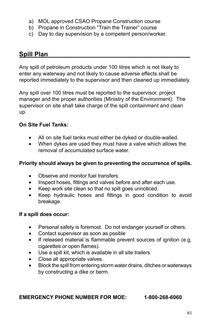- a) MOL approved CSAO Propane Construction course
- b) Propane in Construction "Train the Trainer" course
- c) Day to day supervision by a competent person/worker.

# **Spill Plan**

Any spill of petroleum products under 100 litres which is not likely to enter any waterway and not likely to cause adverse effects shall be reported immediately to the supervisor and then cleaned up immediately.

Any spill over 100 litres must be reported to the supervisor, project manager and the proper authorities (Ministry of the Environment). The supervisor on site shall take charge of the spill containment and clean up.

# **On Site Fuel Tanks:**

- All on site fuel tanks must either be dyked or double-walled.
- When dykes are used they must have a valve which allows the removal of accumulated surface water.

### **Priority should always be given to preventing the occurrence of spills.**

- Observe and monitor fuel transfers.
- Inspect hoses, fittings and valves before and after each use.
- Keep work site clean so that no spill goes unnoticed.
- Keep hydraulic hoses and fittings in good condition to avoid breakage.

## **If a spill does occur:**

- Personal safety is foremost. Do not endanger yourself or others.
- Contact supervisor as soon as pssible
- If released material is flammable prevent sources of ignition (e.g. cigarettes or open flames).
- Use a spill kit, which is available in all site trailers.
- Close all appropriate valves.
- Block the spill from entering storm water drains, ditches or waterways by constructing a dike or berm.

### **EMERGENCY PHONE NUMBER FOR MOE: 1-800-268-6060**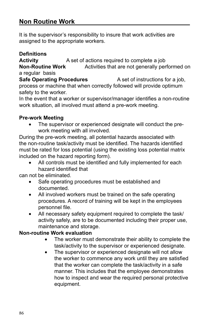# **Non Routine Work**

It is the supervisor's responsibility to insure that work activities are assigned to the appropriate workers.

### **Definitions**

**Activity** A set of actions required to complete a job Activities that are not generally performed on a regular basis

**Safe Operating Procedures** A set of instructions for a job, process or machine that when correctly followed will provide optimum safety to the worker.

In the event that a worker or supervisor/manager identifies a non-routine work situation, all involved must attend a pre-work meeting.

### **Pre-work Meeting**

The supervisor or experienced designate will conduct the prework meeting with all involved.

During the pre-work meeting, all potential hazards associated with the non-routine task/activity must be identified. The hazards identified must be rated for loss potential (using the existing loss potential matrix included on the hazard reporting form).

• All controls must be identified and fully implemented for each hazard identified that

can not be eliminated.

- Safe operating procedures must be established and documented.
- All involved workers must be trained on the safe operating procedures. A record of training will be kept in the employees personnel file.
- All necessary safety equipment required to complete the task/ activity safely, are to be documented including their proper use, maintenance and storage.

### **Non-routine Work evaluation**

- The worker must demonstrate their ability to complete the task/activity to the supervisor or experienced designate.
- The supervisor or experienced designate will not allow the worker to commence any work until they are satisfied that the worker can complete the task/activity in a safe manner. This includes that the employee demonstrates how to inspect and wear the required personal protective equipment.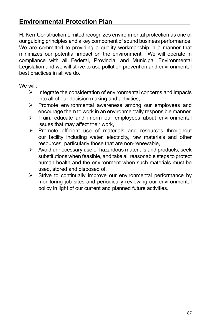# **Environmental Protection Plan**

H. Kerr Construction Limited recognizes environmental protection as one of our guiding principles and a key component of sound business performance. We are committed to providing a quality workmanship in a manner that minimizes our potential impact on the environment. We will operate in compliance with all Federal, Provincial and Municipal Environmental Legislation and we will strive to use pollution prevention and environmental best practices in all we do.

We will:

- $\triangleright$  Integrate the consideration of environmental concerns and impacts into all of our decision making and activities,
- $\triangleright$  Promote environmental awareness among our employees and encourage them to work in an environmentally responsible manner,
- $\triangleright$  Train, educate and inform our employees about environmental issues that may affect their work,
- $\triangleright$  Promote efficient use of materials and resources throughout our facility including water, electricity, raw materials and other resources, particularly those that are non-renewable,
- $\triangleright$  Avoid unnecessary use of hazardous materials and products, seek substitutions when feasible, and take all reasonable steps to protect human health and the environment when such materials must be used, stored and disposed of,
- $\triangleright$  Strive to continually improve our environmental performance by monitoring job sites and periodically reviewing our environmental policy in light of our current and planned future activities.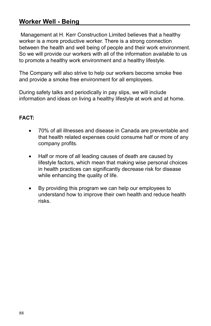# **Worker Well - Being**

 Management at H. Kerr Construction Limited believes that a healthy worker is a more productive worker. There is a strong connection between the health and well being of people and their work environment. So we will provide our workers with all of the information available to us to promote a healthy work environment and a healthy lifestyle.

The Company will also strive to help our workers become smoke free and provide a smoke free environment for all employees.

During safety talks and periodically in pay slips, we will include information and ideas on living a healthy lifestyle at work and at home.

## **FACT:**

- • 70% of all illnesses and disease in Canada are preventable and that health related expenses could consume half or more of any company profits.
- Half or more of all leading causes of death are caused by lifestyle factors, which mean that making wise personal choices in health practices can significantly decrease risk for disease while enhancing the quality of life.
- By providing this program we can help our employees to understand how to improve their own health and reduce health risks.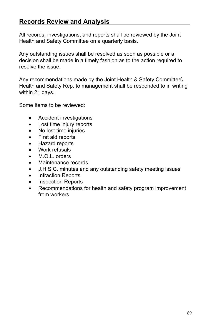# **Records Review and Analysis**

All records, investigations, and reports shall be reviewed by the Joint Health and Safety Committee on a quarterly basis.

Any outstanding issues shall be resolved as soon as possible or a decision shall be made in a timely fashion as to the action required to resolve the issue.

Any recommendations made by the Joint Health & Safety Committee\ Health and Safety Rep. to management shall be responded to in writing within 21 days.

Some Items to be reviewed:

- • Accident investigations
- Lost time injury reports
- No lost time injuries
- • First aid reports
- Hazard reports
- • Work refusals
- M.O.L. orders
- Maintenance records
- J.H.S.C. minutes and any outstanding safety meeting issues
- Infraction Reports
- Inspection Reports
- Recommendations for health and safety program improvement from workers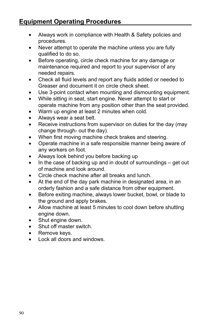# **Equipment Operating Procedures**

- Always work in compliance with Health & Safety policies and procedures.
- Never attempt to operate the machine unless you are fully qualified to do so.
- • Before operating, circle check machine for any damage or maintenance required and report to your supervisor of any needed repairs.
- Check all fluid levels and report any fluids added or needed to Greaser and document it on circle check sheet.
- Use 3-point contact when mounting and dismounting equipment.
- While sitting in seat, start engine. Never attempt to start or operate machine from any position other than the seat provided.
- Warm up engine at least 2 minutes when cold.
- Always wear a seat belt.
- Receive instructions from supervisor on duties for the day (may change through- out the day).
- When first moving machine check brakes and steering.
- • Operate machine in a safe responsible manner being aware of any workers on foot.
- Always look behind you before backing up
- $\bullet$  In the case of backing up and in doubt of surroundings get out of machine and look around.
- Circle check machine after all breaks and lunch.
- At the end of the day park machine in designated area, in an orderly fashion and a safe distance from other equipment.
- • Before exiting machine, always lower bucket, bowl, or blade to the ground and apply brakes.
- Allow machine at least 5 minutes to cool down before shutting engine down.
- Shut engine down.
- Shut off master switch.
- Remove keys.
- Lock all doors and windows.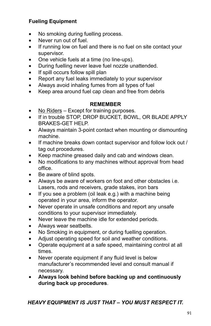# **Fueling Equipment**

- No smoking during fuelling process.
- Never run out of fuel.
- If running low on fuel and there is no fuel on site contact your supervisor.
- One vehicle fuels at a time (no line-ups).
- During fuelling never leave fuel nozzle unattended.
- If spill occurs follow spill plan
- Report any fuel leaks immediately to your supervisor
- Always avoid inhaling fumes from all types of fuel
- Keep area around fuel cap clean and free from debris

### **REMEMBER**

- No Riders Except for training purposes.
- If in trouble STOP, DROP BUCKET, BOWL, OR BLADE APPLY BRAKES-GET HELP.
- Always maintain 3-point contact when mounting or dismounting machine.
- If machine breaks down contact supervisor and follow lock out / tag out procedures.
- Keep machine greased daily and cab and windows clean.
- No modifications to any machines without approval from head office.
- Be aware of blind spots.
- Always be aware of workers on foot and other obstacles i.e. Lasers, rods and receivers, grade stakes, iron bars
- $\bullet$  If you see a problem (oil leak e.g.) with a machine being operated in your area, inform the operator.
- Never operate in unsafe conditions and report any unsafe conditions to your supervisor immediately.
- Never leave the machine idle for extended periods.
- Always wear seatbelts.
- No Smoking in equipment, or during fuelling operation.
- Adjust operating speed for soil and weather conditions.
- • Operate equipment at a safe speed, maintaining control at all times.
- Never operate equipment if any fluid level is below manufacturer's recommended level and consult manual if necessary.
- • **Always look behind before backing up and continuously during back up procedures**.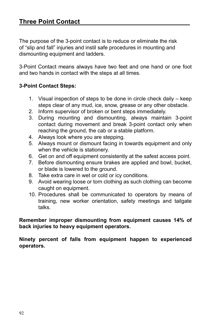The purpose of the 3-point contact is to reduce or eliminate the risk of "slip and fall" injuries and instil safe procedures in mounting and dismounting equipment and ladders.

3-Point Contact means always have two feet and one hand or one foot and two hands in contact with the steps at all times.

### **3-Point Contact Steps:**

- 1. Visual inspection of steps to be done in circle check daily keep steps clear of any mud, ice, snow, grease or any other obstacle.
- 2. Inform supervisor of broken or bent steps immediately.
- 3. During mounting and dismounting, always maintain 3-point contact during movement and break 3-point contact only when reaching the ground, the cab or a stable platform.
- 4. Always look where you are stepping.
- 5. Always mount or dismount facing in towards equipment and only when the vehicle is stationery.
- 6. Get on and off equipment consistently at the safest access point.
- 7. Before dismounting ensure brakes are applied and bowl, bucket, or blade is lowered to the ground.
- 8. Take extra care in wet or cold or icy conditions.
- 9. Avoid wearing loose or torn clothing as such clothing can become caught on equipment.
- 10. Procedures shall be communicated to operators by means of training, new worker orientation, safety meetings and tailgate talks.

**Remember improper dismounting from equipment causes 14% of back injuries to heavy equipment operators.**

**Ninety percent of falls from equipment happen to experienced operators.**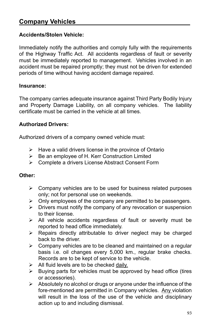## **Accidents/Stolen Vehicle:**

Immediately notify the authorities and comply fully with the requirements of the Highway Traffic Act. All accidents regardless of fault or severity must be immediately reported to management. Vehicles involved in an accident must be repaired promptly; they must not be driven for extended periods of time without having accident damage repaired.

### **Insurance:**

The company carries adequate insurance against Third Party Bodily Injury and Property Damage Liability, on all company vehicles. The liability certificate must be carried in the vehicle at all times.

### **Authorized Drivers:**

Authorized drivers of a company owned vehicle must:

- $\triangleright$  Have a valid drivers license in the province of Ontario
- $\triangleright$  Be an employee of H. Kerr Construction Limited
- Complete a drivers License Abstract Consent Form

### **Other:**

- $\triangleright$  Company vehicles are to be used for business related purposes only; not for personal use on weekends.
- $\triangleright$  Only employees of the company are permitted to be passengers.
- $\triangleright$  Drivers must notify the company of any revocation or suspension to their license.
- $\triangleright$  All vehicle accidents regardless of fault or severity must be reported to head office immediately.
- $\triangleright$  Repairs directly attributable to driver neglect may be charged back to the driver.
- $\triangleright$  Company vehicles are to be cleaned and maintained on a regular basis i.e. oil changes every 5,000 km., regular brake checks. Records are to be kept of service to the vehicle.
- $\triangleright$  All fluid levels are to be checked daily.
- $\triangleright$  Buying parts for vehicles must be approved by head office (tires or accessories).
- $\triangleright$  Absolutely no alcohol or drugs or anyone under the influence of the fore-mentioned are permitted in Company vehicles. Any violation will result in the loss of the use of the vehicle and disciplinary action up to and including dismissal.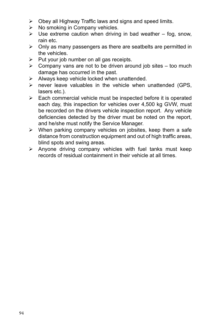- $\triangleright$  Obey all Highway Traffic laws and signs and speed limits.
- $\triangleright$  No smoking in Company vehicles.
- $\triangleright$  Use extreme caution when driving in bad weather fog, snow, rain etc.
- $\triangleright$  Only as many passengers as there are seatbelts are permitted in the vehicles.
- $\triangleright$  Put your job number on all gas receipts.
- $\triangleright$  Company vans are not to be driven around job sites too much damage has occurred in the past.
- $\triangleright$  Always keep vehicle locked when unattended.
- $\triangleright$  never leave valuables in the vehicle when unattended (GPS, lasers etc.).
- $\triangleright$  Each commercial vehicle must be inspected before it is operated each day, this inspection for vehicles over 4,500 kg GVW, must be recorded on the drivers vehicle inspection report. Any vehicle deficiencies detected by the driver must be noted on the report, and he/she must notify the Service Manager.
- $\triangleright$  When parking company vehicles on jobsites, keep them a safe distance from construction equipment and out of high traffic areas, blind spots and swing areas.
- $\triangleright$  Anyone driving company vehicles with fuel tanks must keep records of residual containment in their vehicle at all times.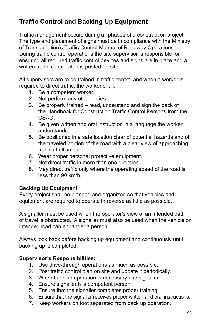# **Traffic Control and Backing Up Equipment**

Traffic management occurs during all phases of a construction project. The type and placement of signs must be in compliance with the Ministry of Transportation's Traffic Control Manual of Roadway Operations. During traffic control operations the site supervisor is responsible for ensuring all required traffic control devices and signs are in place and a written traffic control plan is posted on site.

All supervisors are to be trained in traffic control and when a worker is required to direct traffic, the worker shall:

- 1. Be a competent worker.
- 2. Not perform any other duties.
- 3. Be properly trained read, understand and sign the back of the Handbook for Construction Traffic Control Persons from the CSAO.
- 4. Be given written and oral instruction in a language the worker understands.
- 5. Be positioned in a safe location clear of potential hazards and off the traveled portion of the road with a clear view of approaching traffic at all times.
- 6. Wear proper personal protective equipment.
- 7. Not direct traffic in more than one direction.
- 8. May direct traffic only where the operating speed of the road is less than 90 km/h.

## **Backing Up Equipment**

Every project shall be planned and organized so that vehicles and equipment are required to operate in reverse as little as possible.

A signaller must be used when the operator's view of an intended path of travel is obstructed. A signaller must also be used when the vehicle or intended load can endanger a person.

Always look back before backing up equipment and continuously until backing up is completed

### **Supervisor's Responsibilities:**

- 1. Use drive-through operations as much as possible.
- 2. Post traffic control plan on site and update it periodically.
- 3. When back up operation is necessary use signaller.
- 4. Ensure signaller is a competent person.
- 5. Ensure that the signaller completes proper training.
- 6. Ensure that the signaller receives proper written and oral instructions.
- 7. Keep workers on foot separated from back up operation.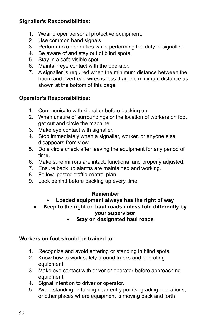# **Signaller's Responsibilities:**

- 1. Wear proper personal protective equipment.
- 2. Use common hand signals.
- 3. Perform no other duties while performing the duty of signaller.
- 4. Be aware of and stay out of blind spots.
- 5. Stay in a safe visible spot.
- 6. Maintain eye contact with the operator.
- 7. A signaller is required when the minimum distance between the boom and overhead wires is less than the minimum distance as shown at the bottom of this page.

# **Operator's Responsibilities:**

- 1. Communicate with signaller before backing up.
- 2. When unsure of surroundings or the location of workers on foot get out and circle the machine.
- 3. Make eye contact with signaller.
- 4. Stop immediately when a signaller, worker, or anyone else disappears from view.
- 5. Do a circle check after leaving the equipment for any period of time.
- 6. Make sure mirrors are intact, functional and properly adjusted.
- 7. Ensure back up alarms are maintained and working.
- 8. Follow posted traffic control plan.
- 9. Look behind before backing up every time.

## **Remember**

- **Loaded equipment always has the right of way**
- Keep to the right on haul roads unless told differently by **your supervisor**
	- **Stay on designated haul roads**

## **Workers on foot should be trained to:**

- 1. Recognize and avoid entering or standing in blind spots.
- 2. Know how to work safely around trucks and operating equipment.
- 3. Make eye contact with driver or operator before approaching equipment.
- 4. Signal intention to driver or operator.
- 5. Avoid standing or talking near entry points, grading operations, or other places where equipment is moving back and forth.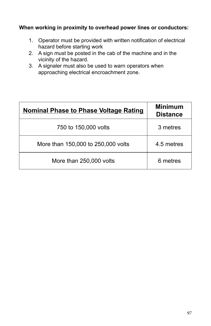### **When working in proximity to overhead power lines or conductors:**

- 1. Operator must be provided with written notification of electrical hazard before starting work
- 2. A sign must be posted in the cab of the machine and in the vicinity of the hazard.
- 3. A signaler must also be used to warn operators when approaching electrical encroachment zone.

| <b>Nominal Phase to Phase Voltage Rating</b> | <b>Minimum</b><br><b>Distance</b> |
|----------------------------------------------|-----------------------------------|
| 750 to 150,000 volts                         | 3 metres                          |
| More than 150,000 to 250,000 volts           | 4.5 metres                        |
| More than 250,000 volts                      | 6 metres                          |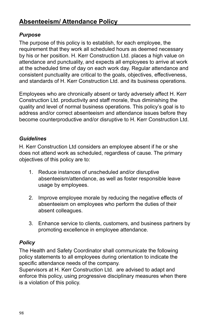# *Purpose*

The purpose of this policy is to establish, for each employee, the requirement that they work all scheduled hours as deemed necessary by his or her position. H. Kerr Construction Ltd. places a high value on attendance and punctuality, and expects all employees to arrive at work at the scheduled time of day on each work day. Regular attendance and consistent punctuality are critical to the goals, objectives, effectiveness, and standards of H. Kerr Construction Ltd. and its business operations.

Employees who are chronically absent or tardy adversely affect H. Kerr Construction Ltd. productivity and staff morale, thus diminishing the quality and level of normal business operations. This policy's goal is to address and/or correct absenteeism and attendance issues before they become counterproductive and/or disruptive to H. Kerr Construction Ltd.

## *Guidelines*

H. Kerr Construction Ltd considers an employee absent if he or she does not attend work as scheduled, regardless of cause. The primary objectives of this policy are to:

- 1. Reduce instances of unscheduled and/or disruptive absenteeism/attendance, as well as foster responsible leave usage by employees.
- 2. Improve employee morale by reducing the negative effects of absenteeism on employees who perform the duties of their absent colleagues.
- 3. Enhance service to clients, customers, and business partners by promoting excellence in employee attendance.

# *Policy*

The Health and Safety Coordinator shall communicate the following policy statements to all employees during orientation to indicate the specific attendance needs of the company.

Supervisors at H. Kerr Construction Ltd. are advised to adapt and enforce this policy, using progressive disciplinary measures when there is a violation of this policy.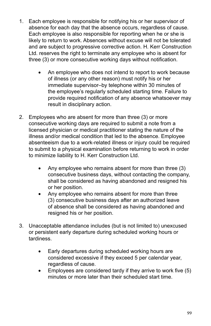- 1. Each employee is responsible for notifying his or her supervisor of absence for each day that the absence occurs, regardless of cause. Each employee is also responsible for reporting when he or she is likely to return to work. Absences without excuse will not be tolerated and are subject to progressive corrective action. H. Kerr Construction Ltd. reserves the right to terminate any employee who is absent for three (3) or more consecutive working days without notification.
	- An employee who does not intend to report to work because of illness (or any other reason) must notify his or her immediate supervisor–by telephone within 30 minutes of the employee's regularly scheduled starting time. Failure to provide required notification of any absence whatsoever may result in disciplinary action.
- 2. Employees who are absent for more than three (3) or more consecutive working days are required to submit a note from a licensed physician or medical practitioner stating the nature of the illness and/or medical condition that led to the absence. Employee absenteeism due to a work-related illness or injury could be required to submit to a physical examination before returning to work in order to minimize liability to H. Kerr Construction Ltd.
	- Any employee who remains absent for more than three (3) consecutive business days, without contacting the company, shall be considered as having abandoned and resigned his or her position.
	- Any employee who remains absent for more than three (3) consecutive business days after an authorized leave of absence shall be considered as having abandoned and resigned his or her position.
- 3. Unacceptable attendance includes (but is not limited to) unexcused or persistent early departure during scheduled working hours or tardiness.
	- Early departures during scheduled working hours are considered excessive if they exceed 5 per calendar year, regardless of cause.
	- Employees are considered tardy if they arrive to work five (5) minutes or more later than their scheduled start time.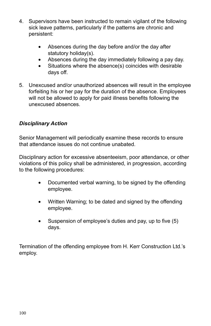- 4. Supervisors have been instructed to remain vigilant of the following sick leave patterns, particularly if the patterns are chronic and persistent:
	- Absences during the day before and/or the day after statutory holiday(s).
	- Absences during the day immediately following a pay day.
	- Situations where the absence(s) coincides with desirable days off.
- 5. Unexcused and/or unauthorized absences will result in the employee forfeiting his or her pay for the duration of the absence. Employees will not be allowed to apply for paid illness benefits following the unexcused absences.

# *Disciplinary Action*

Senior Management will periodically examine these records to ensure that attendance issues do not continue unabated.

Disciplinary action for excessive absenteeism, poor attendance, or other violations of this policy shall be administered, in progression, according to the following procedures:

- Documented verbal warning, to be signed by the offending employee.
- Written Warning; to be dated and signed by the offending employee.
- Suspension of employee's duties and pay, up to five (5) days.

Termination of the offending employee from H. Kerr Construction Ltd.'s employ.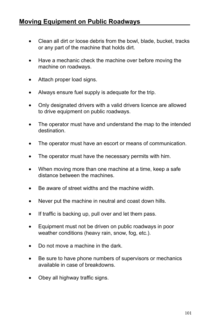- Clean all dirt or loose debris from the bowl, blade, bucket, tracks or any part of the machine that holds dirt.
- Have a mechanic check the machine over before moving the machine on roadways.
- Attach proper load signs.
- Always ensure fuel supply is adequate for the trip.
- Only designated drivers with a valid drivers licence are allowed to drive equipment on public roadways.
- The operator must have and understand the map to the intended destination.
- The operator must have an escort or means of communication.
- The operator must have the necessary permits with him.
- When moving more than one machine at a time, keep a safe distance between the machines.
- Be aware of street widths and the machine width.
- Never put the machine in neutral and coast down hills.
- If traffic is backing up, pull over and let them pass.
- Equipment must not be driven on public roadways in poor weather conditions (heavy rain, snow, fog, etc.).
- Do not move a machine in the dark.
- Be sure to have phone numbers of supervisors or mechanics available in case of breakdowns.
- Obey all highway traffic signs.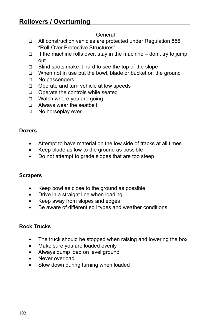#### General

- □ All construction vehicles are protected under Regulation 856 "Roll-Over Protective Structures"
- $\Box$  If the machine rolls over, stay in the machine don't try to jump out
- $\Box$  Blind spots make it hard to see the top of the slope
- □ When not in use put the bowl, blade or bucket on the ground
- □ No passengers
- □ Operate and turn vehicle at low speeds
- □ Operate the controls while seated
- $\Box$  Watch where you are going
- □ Always wear the seatbelt
- □ No horseplay ever

### **Dozers**

- Attempt to have material on the low side of tracks at all times
- Keep blade as low to the ground as possible
- Do not attempt to grade slopes that are too steep

## **Scrapers**

- Keep bowl as close to the ground as possible
- Drive in a straight line when loading
- Keep away from slopes and edges
- Be aware of different soil types and weather conditions

## **Rock Trucks**

- The truck should be stopped when raising and lowering the box
- Make sure you are loaded evenly
- Always dump load on level ground
- Never overload
- Slow down during turning when loaded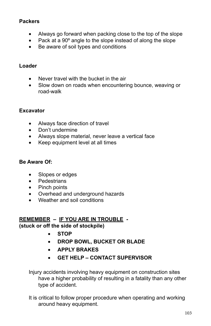# **Packers**

- Always go forward when packing close to the top of the slope
- Pack at a 90° angle to the slope instead of along the slope
- • Be aware of soil types and conditions

## **Loader**

- Never travel with the bucket in the air
- Slow down on roads when encountering bounce, weaving or road-walk

# **Excavator**

- • Always face direction of travel
- Don't undermine
- Always slope material, never leave a vertical face
- Keep equipment level at all times

### **Be Aware Of:**

- Slopes or edges
- • Pedestrians
- Pinch points
- • Overhead and underground hazards
- • Weather and soil conditions

## **REMEMBER – IF YOU ARE IN TROUBLE - (stuck or off the side of stockpile)**

- • **STOP**
- • **DROP BOWL, BUCKET OR BLADE**
- • **APPLY BRAKES**
- • **GET HELP CONTACT SUPERVISOR**

Injury accidents involving heavy equipment on construction sites have a higher probability of resulting in a fatality than any other type of accident.

It is critical to follow proper procedure when operating and working around heavy equipment.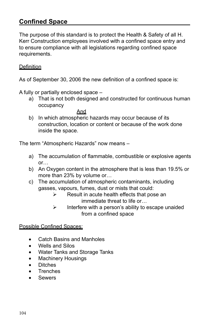# **Confined Space**

The purpose of this standard is to protect the Health & Safety of all H. Kerr Construction employees involved with a confined space entry and to ensure compliance with all legislations regarding confined space requirements.

### **Definition**

As of September 30, 2006 the new definition of a confined space is:

A fully or partially enclosed space –

a) That is not both designed and constructed for continuous human occupancy

And

b) In which atmospheric hazards may occur because of its construction, location or content or because of the work done inside the space.

The term "Atmospheric Hazards" now means –

- a) The accumulation of flammable, combustible or explosive agents or…
- b) An Oxygen content in the atmosphere that is less than 19.5% or more than 23% by volume or…
- c) The accumulation of atmospheric contaminants, including gasses, vapours, fumes, dust or mists that could:
	- $\triangleright$  Result in acute health effects that pose an immediate threat to life or…
	- $\triangleright$  Interfere with a person's ability to escape unaided from a confined space

Possible Confined Spaces:

- Catch Basins and Manholes
- **Wells and Silos**
- **Water Tanks and Storage Tanks**
- **Machinery Housings**
- **Ditches**
- **Trenches**
- • Sewers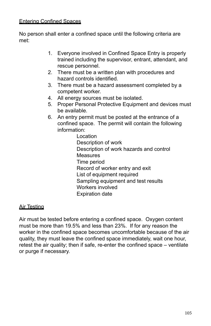### Entering Confined Spaces

No person shall enter a confined space until the following criteria are met:

- 1. Everyone involved in Confined Space Entry is properly trained including the supervisor, entrant, attendant, and rescue personnel.
- 2. There must be a written plan with procedures and hazard controls identified.
- 3. There must be a hazard assessment completed by a competent worker.
- 4. All energy sources must be isolated.
- 5. Proper Personal Protective Equipment and devices must be available.
- 6. An entry permit must be posted at the entrance of a confined space. The permit will contain the following information:

Location Description of work Description of work hazards and control **Measures** Time period Record of worker entry and exit List of equipment required Sampling equipment and test results Workers involved Expiration date

### Air Testing

Air must be tested before entering a confined space. Oxygen content must be more than 19.5% and less than 23%. If for any reason the worker in the confined space becomes uncomfortable because of the air quality, they must leave the confined space immediately, wait one hour, retest the air quality; then if safe, re-enter the confined space – ventilate or purge if necessary.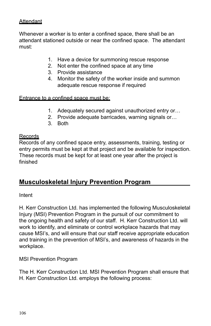### **Attendant**

Whenever a worker is to enter a confined space, there shall be an attendant stationed outside or near the confined space. The attendant must:

- 1. Have a device for summoning rescue response
- 2. Not enter the confined space at any time
- 3. Provide assistance
- 4. Monitor the safety of the worker inside and summon adequate rescue response if required

#### Entrance to a confined space must be:

- 1. Adequately secured against unauthorized entry or…
- 2. Provide adequate barricades, warning signals or…
- 3. Both

#### **Records**

Records of any confined space entry, assessments, training, testing or entry permits must be kept at that project and be available for inspection. These records must be kept for at least one year after the project is finished

# **Musculoskeletal Injury Prevention Program**

Intent

H. Kerr Construction Ltd. has implemented the following Musculoskeletal Injury (MSI) Prevention Program in the pursuit of our commitment to the ongoing health and safety of our staff. H. Kerr Construction Ltd. will work to identify, and eliminate or control workplace hazards that may cause MSI's, and will ensure that our staff receive appropriate education and training in the prevention of MSI's, and awareness of hazards in the workplace.

MSI Prevention Program

The H. Kerr Construction Ltd. MSI Prevention Program shall ensure that H. Kerr Construction Ltd. employs the following process: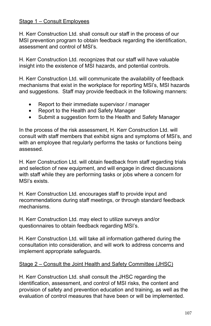## Stage 1 – Consult Employees

H. Kerr Construction Ltd. shall consult our staff in the process of our MSI prevention program to obtain feedback regarding the identification, assessment and control of MSI's.

H. Kerr Construction Ltd. recognizes that our staff will have valuable insight into the existence of MSI hazards, and potential controls.

H. Kerr Construction Ltd. will communicate the availability of feedback mechanisms that exist in the workplace for reporting MSI's, MSI hazards and suggestions. Staff may provide feedback in the following manners:

- Report to their immediate supervisor / manager
- Report to the Health and Safety Manager
- Submit a suggestion form to the Health and Safety Manager

In the process of the risk assessment, H. Kerr Construction Ltd. will consult with staff members that exhibit signs and symptoms of MSI's, and with an employee that regularly performs the tasks or functions being assessed.

H. Kerr Construction Ltd. will obtain feedback from staff regarding trials and selection of new equipment, and will engage in direct discussions with staff while they are performing tasks or jobs where a concern for MSI's exists.

H. Kerr Construction Ltd. encourages staff to provide input and recommendations during staff meetings, or through standard feedback mechanisms.

H. Kerr Construction Ltd. may elect to utilize surveys and/or questionnaires to obtain feedback regarding MSI's.

H. Kerr Construction Ltd. will take all information gathered during the consultation into consideration, and will work to address concerns and implement appropriate safeguards.

## Stage 2 – Consult the Joint Health and Safety Committee (JHSC)

H. Kerr Construction Ltd. shall consult the JHSC regarding the identification, assessment, and control of MSI risks, the content and provision of safety and prevention education and training, as well as the evaluation of control measures that have been or will be implemented.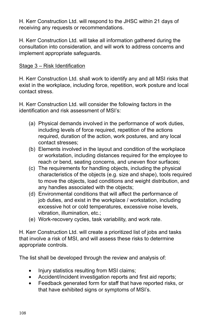H. Kerr Construction Ltd. will respond to the JHSC within 21 days of receiving any requests or recommendations.

H. Kerr Construction Ltd. will take all information gathered during the consultation into consideration, and will work to address concerns and implement appropriate safeguards.

### Stage 3 – Risk Identification

H. Kerr Construction Ltd. shall work to identify any and all MSI risks that exist in the workplace, including force, repetition, work posture and local contact stress.

H. Kerr Construction Ltd. will consider the following factors in the identification and risk assessment of MSI's:

- (a) Physical demands involved in the performance of work duties, including levels of force required, repetition of the actions required, duration of the action, work postures, and any local contact stresses;
- (b) Elements involved in the layout and condition of the workplace or workstation, including distances required for the employee to reach or bend, seating concerns, and uneven floor surfaces;
- (c) The requirements for handling objects, including the physical characteristics of the objects (e.g. size and shape), tools required to move the objects, load conditions and weight distribution, and any handles associated with the objects;
- (d) Environmental conditions that will affect the performance of job duties, and exist in the workplace / workstation, including excessive hot or cold temperatures, excessive noise levels, vibration, illumination, etc.;
- (e) Work-recovery cycles, task variability, and work rate.

H. Kerr Construction Ltd. will create a prioritized list of jobs and tasks that involve a risk of MSI, and will assess these risks to determine appropriate controls.

The list shall be developed through the review and analysis of:

- Injury statistics resulting from MSI claims;
- Accident/incident investigation reports and first aid reports;
- Feedback generated form for staff that have reported risks, or that have exhibited signs or symptoms of MSI's.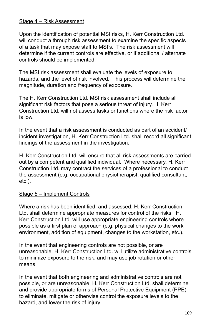#### Stage 4 – Risk Assessment

Upon the identification of potential MSI risks, H. Kerr Construction Ltd. will conduct a through risk assessment to examine the specific aspects of a task that may expose staff to MSI's. The risk assessment will determine if the current controls are effective, or if additional / alternate controls should be implemented.

The MSI risk assessment shall evaluate the levels of exposure to hazards, and the level of risk involved. This process will determine the magnitude, duration and frequency of exposure.

The H. Kerr Construction Ltd. MSI risk assessment shall include all significant risk factors that pose a serious threat of injury. H. Kerr Construction Ltd. will not assess tasks or functions where the risk factor is low.

In the event that a risk assessment is conducted as part of an accident/ incident investigation, H. Kerr Construction Ltd. shall record all significant findings of the assessment in the investigation.

H. Kerr Construction Ltd. will ensure that all risk assessments are carried out by a competent and qualified individual. Where necessary, H. Kerr Construction Ltd. may contract the services of a professional to conduct the assessment (e.g. occupational physiotherapist, qualified consultant, etc.).

#### Stage 5 – Implement Controls

Where a risk has been identified, and assessed, H. Kerr Construction Ltd. shall determine appropriate measures for control of the risks. H. Kerr Construction Ltd. will use appropriate engineering controls where possible as a first plan of approach (e.g. physical changes to the work environment, addition of equipment, changes to the workstation, etc.).

In the event that engineering controls are not possible, or are unreasonable, H. Kerr Construction Ltd. will utilize administrative controls to minimize exposure to the risk, and may use job rotation or other means.

In the event that both engineering and administrative controls are not possible, or are unreasonable, H. Kerr Construction Ltd. shall determine and provide appropriate forms of Personal Protective Equipment (PPE) to eliminate, mitigate or otherwise control the exposure levels to the hazard, and lower the risk of injury.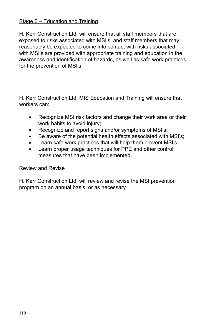### Stage 6 – Education and Training

H. Kerr Construction Ltd. will ensure that all staff members that are exposed to risks associated with MSI's, and staff members that may reasonably be expected to come into contact with risks associated with MSI's are provided with appropriate training and education in the awareness and identification of hazards, as well as safe work practices for the prevention of MSI's.

H. Kerr Construction Ltd. MIS Education and Training will ensure that workers can:

- Recognize MSI risk factors and change their work area or their work habits to avoid injury;
- Recognize and report signs and/or symptoms of MSI's;
- Be aware of the potential health effects associated with MSI's;
- Learn safe work practices that will help them prevent MSI's;
- Learn proper usage techniques for PPE and other control measures that have been implemented.

#### Review and Revise

H. Kerr Construction Ltd. will review and revise the MSI prevention program on an annual basis, or as necessary.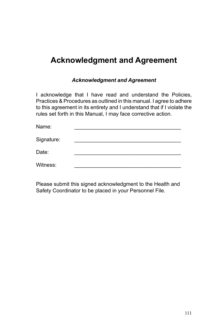# **Acknowledgment and Agreement**

#### *Acknowledgment and Agreement*

I acknowledge that I have read and understand the Policies, Practices & Procedures as outlined in this manual. I agree to adhere to this agreement in its entirety and I understand that if I violate the rules set forth in this Manual, I may face corrective action.

| Name:      |  |
|------------|--|
| Signature: |  |
| Date:      |  |
| Witness:   |  |

Please submit this signed acknowledgment to the Health and Safety Coordinator to be placed in your Personnel File.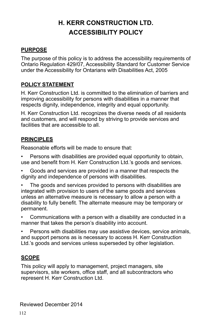# **H. KERR CONSTRUCTION LTD. ACCESSIBILITY POLICY**

#### **PURPOSE**

The purpose of this policy is to address the accessibility requirements of Ontario Regulation 429/07, Accessibility Standard for Customer Service under the Accessibility for Ontarians with Disabilities Act, 2005

#### **POLICY STATEMENT**

H. Kerr Construction Ltd. is committed to the elimination of barriers and improving accessibility for persons with disabilities in a manner that respects dignity, independence, integrity and equal opportunity.

H. Kerr Construction Ltd. recognizes the diverse needs of all residents and customers, and will respond by striving to provide services and facilities that are accessible to all.

#### **PRINCIPLES**

Reasonable efforts will be made to ensure that:

Persons with disabilities are provided equal opportunity to obtain, use and benefit from H. Kerr Construction Ltd.'s goods and services.

• Goods and services are provided in a manner that respects the dignity and independence of persons with disabilities.

The goods and services provided to persons with disabilities are integrated with provision to users of the same goods and services unless an alternative measure is necessary to allow a person with a disability to fully benefit. The alternate measure may be temporary or permanent.

• Communications with a person with a disability are conducted in a manner that takes the person's disability into account.

Persons with disabilities may use assistive devices, service animals, and support persons as is necessary to access H. Kerr Construction Ltd.'s goods and services unless superseded by other legislation.

#### **SCOPE**

This policy will apply to management, project managers, site supervisors, site workers, office staff, and all subcontractors who represent H. Kerr Construction Ltd.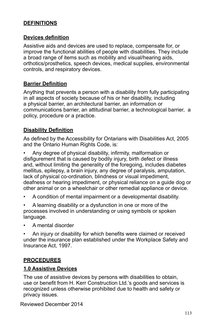### **DEFINITIONS**

#### **Devices definition**

Assistive aids and devices are used to replace, compensate for, or improve the functional abilities of people with disabilities. They include a broad range of items such as mobility and visual/hearing aids, orthotics/prosthetics, speech devices, medical supplies, environmental controls, and respiratory devices.

#### **Barrier Definition**

Anything that prevents a person with a disability from fully participating in all aspects of society because of his or her disability, including a physical barrier, an architectural barrier, an information or communications barrier, an attitudinal barrier, a technological barrier, a policy, procedure or a practice.

#### **Disability Definition**

As defined by the Accessibility for Ontarians with Disabilities Act, 2005 and the Ontario Human Rights Code, is:

• Any degree of physical disability, infirmity, malformation or disfigurement that is caused by bodily injury, birth defect or illness and, without limiting the generality of the foregoing, includes diabetes mellitus, epilepsy, a brain injury, any degree of paralysis, amputation, lack of physical co-ordination, blindness or visual impediment, deafness or hearing impediment, or physical reliance on a guide dog or other animal or on a wheelchair or other remedial appliance or device.

- A condition of mental impairment or a developmental disability.
- A learning disability or a dysfunction in one or more of the processes involved in understanding or using symbols or spoken language.
- A mental disorder

• An injury or disability for which benefits were claimed or received under the insurance plan established under the Workplace Safety and Insurance Act, 1997.

#### **PROCEDURES**

#### **1.0 Assistive Devices**

The use of assistive devices by persons with disabilities to obtain, use or benefit from H. Kerr Construction Ltd.'s goods and services is recognized unless otherwise prohibited due to health and safety or privacy issues.

Reviewed December 2014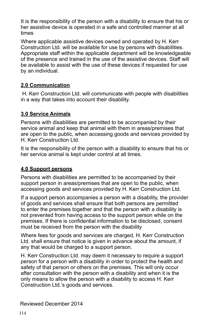It is the responsibility of the person with a disability to ensure that his or her assistive device is operated in a safe and controlled manner at all times

Where applicable assistive devices owned and operated by H. Kerr Construction Ltd. will be available for use by persons with disabilities. Appropriate staff within the applicable department will be knowledgeable of the presence and trained in the use of the assistive devices. Staff will be available to assist with the use of these devices if requested for use by an individual.

## **2.0 Communication**

 H. Kerr Construction Ltd. will communicate with people with disabilities in a way that takes into account their disability.

# **3.0 Service Animals**

Persons with disabilities are permitted to be accompanied by their service animal and keep that animal with them in areas/premises that are open to the public, when accessing goods and services provided by H. Kerr Construction Ltd.

It is the responsibility of the person with a disability to ensure that his or her service animal is kept under control at all times.

# **4.0 Support persons**

Persons with disabilities are permitted to be accompanied by their support person in areas/premises that are open to the public, when accessing goods and services provided by H. Kerr Construction Ltd.

If a support person accompanies a person with a disability, the provider of goods and services shall ensure that both persons are permitted to enter the premises together and that the person with a disability is not prevented from having access to the support person while on the premises. If there is confidential information to be disclosed, consent must be received from the person with the disability

Where fees for goods and services are charged, H. Kerr Construction Ltd. shall ensure that notice is given in advance about the amount, if any that would be charged to a support person.

H. Kerr Construction Ltd. may deem it necessary to require a support person for a person with a disability in order to protect the health and safety of that person or others on the premises. This will only occur after consultation with the person with a disability and when it is the only means to allow the person with a disability to access H. Kerr Construction Ltd.'s goods and services.

#### Reviewed December 2014 Reviewed December 2014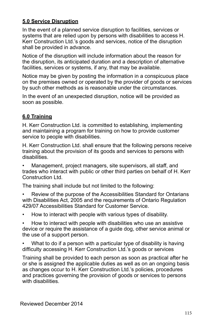# **5.0 Service Disruption**

In the event of a planned service disruption to facilities, services or systems that are relied upon by persons with disabilities to access H. Kerr Construction Ltd.'s goods and services, notice of the disruption shall be provided in advance.

Notice of the disruption will include information about the reason for the disruption, its anticipated duration and a description of alternative facilities, services or systems, if any, that may be available.

Notice may be given by posting the information in a conspicuous place on the premises owned or operated by the provider of goods or services by such other methods as is reasonable under the circumstances.

In the event of an unexpected disruption, notice will be provided as soon as possible.

# **6.0 Training**

H. Kerr Construction Ltd. is committed to establishing, implementing and maintaining a program for training on how to provide customer service to people with disabilities.

H. Kerr Construction Ltd. shall ensure that the following persons receive training about the provision of its goods and services to persons with disabilities.

• Management, project managers, site supervisors, all staff, and trades who interact with public or other third parties on behalf of H. Kerr Construction Ltd.

The training shall include but not limited to the following:

• Review of the purpose of the Accessibilities Standard for Ontarians with Disabilities Act, 2005 and the requirements of Ontario Regulation 429/07 Accessibilities Standard for Customer Service.

• How to interact with people with various types of disability.

• How to interact with people with disabilities who use an assistive device or require the assistance of a guide dog, other service animal or the use of a support person.

What to do if a person with a particular type of disability is having difficulty accessing H. Kerr Construction Ltd.'s goods or services

Training shall be provided to each person as soon as practical after he or she is assigned the applicable duties as well as on an ongoing basis as changes occur to H. Kerr Construction Ltd.'s policies, procedures and practices governing the provision of goods or services to persons with disabilities.